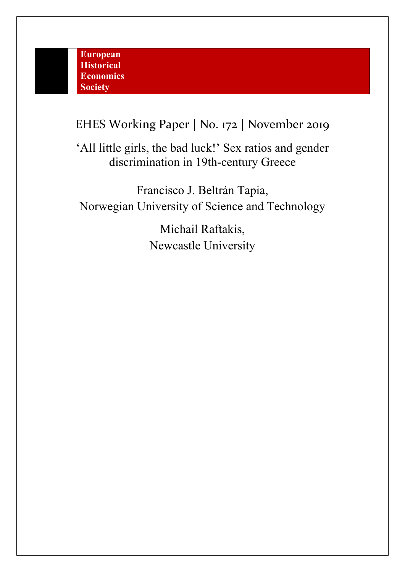EHES Working Paper | No. 172 | November 2019

'All little girls, the bad luck!' Sex ratios and gender discrimination in 19th-century Greece

Francisco J. Beltrán Tapia, Norwegian University of Science and Technology

> Michail Raftakis, Newcastle University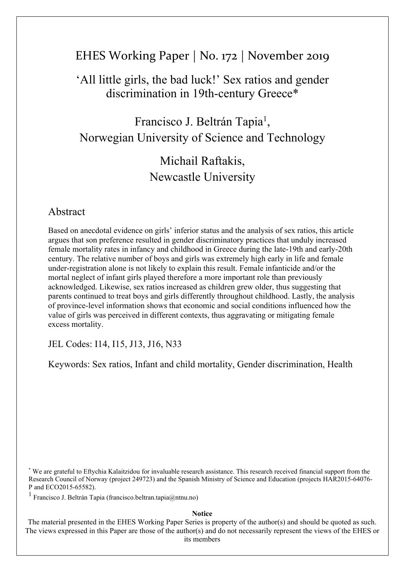# EHES Working Paper | No. 172 | November 2019

# 'All little girls, the bad luck!' Sex ratios and gender discrimination in 19th-century Greece\*

Francisco J. Beltrán Tapia<sup>1</sup>, Norwegian University of Science and Technology

# Michail Raftakis, Newcastle University

# Abstract

Based on anecdotal evidence on girls' inferior status and the analysis of sex ratios, this article argues that son preference resulted in gender discriminatory practices that unduly increased female mortality rates in infancy and childhood in Greece during the late-19th and early-20th century. The relative number of boys and girls was extremely high early in life and female under-registration alone is not likely to explain this result. Female infanticide and/or the mortal neglect of infant girls played therefore a more important role than previously acknowledged. Likewise, sex ratios increased as children grew older, thus suggesting that parents continued to treat boys and girls differently throughout childhood. Lastly, the analysis of province-level information shows that economic and social conditions influenced how the value of girls was perceived in different contexts, thus aggravating or mitigating female excess mortality.

JEL Codes: I14, I15, J13, J16, N33

Keywords: Sex ratios, Infant and child mortality, Gender discrimination, Health

\* We are grateful to Eftychia Kalaitzidou for invaluable research assistance. This research received financial support from the Research Council of Norway (project 249723) and the Spanish Ministry of Science and Education (projects HAR2015-64076- P and ECO2015-65582).

1 Francisco J. Beltrán Tapia (francisco.beltran.tapia@ntnu.no)

#### **Notice**

The material presented in the EHES Working Paper Series is property of the author(s) and should be quoted as such. The views expressed in this Paper are those of the author(s) and do not necessarily represent the views of the EHES or its members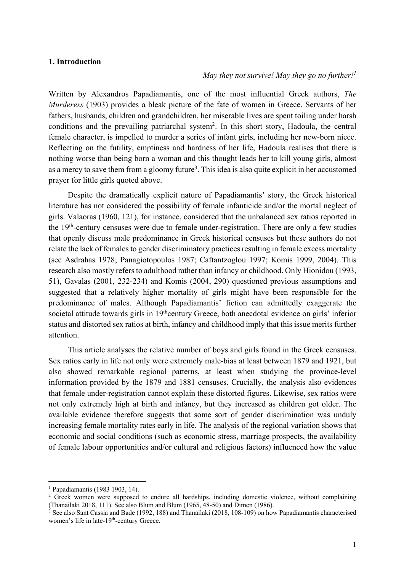## **1. Introduction**

## *May they not survive! May they go no further!1*

Written by Alexandros Papadiamantis, one of the most influential Greek authors, *The Murderess* (1903) provides a bleak picture of the fate of women in Greece. Servants of her fathers, husbands, children and grandchildren, her miserable lives are spent toiling under harsh conditions and the prevailing patriarchal system<sup>2</sup>. In this short story, Hadoula, the central female character, is impelled to murder a series of infant girls, including her new-born niece. Reflecting on the futility, emptiness and hardness of her life, Hadoula realises that there is nothing worse than being born a woman and this thought leads her to kill young girls, almost as a mercy to save them from a gloomy future<sup>3</sup>. This idea is also quite explicit in her accustomed prayer for little girls quoted above.

Despite the dramatically explicit nature of Papadiamantis' story, the Greek historical literature has not considered the possibility of female infanticide and/or the mortal neglect of girls. Valaoras (1960, 121), for instance, considered that the unbalanced sex ratios reported in the 19th-century censuses were due to female under-registration. There are only a few studies that openly discuss male predominance in Greek historical censuses but these authors do not relate the lack of females to gender discriminatory practices resulting in female excess mortality (see Asdrahas 1978; Panagiotopoulos 1987; Caftantzoglou 1997; Komis 1999, 2004). This research also mostly refers to adulthood rather than infancy or childhood. Only Hionidou (1993, 51), Gavalas (2001, 232-234) and Komis (2004, 290) questioned previous assumptions and suggested that a relatively higher mortality of girls might have been responsible for the predominance of males. Although Papadiamantis' fiction can admittedly exaggerate the societal attitude towards girls in 19<sup>th</sup>century Greece, both anecdotal evidence on girls' inferior status and distorted sex ratios at birth, infancy and childhood imply that this issue merits further attention.

This article analyses the relative number of boys and girls found in the Greek censuses. Sex ratios early in life not only were extremely male-bias at least between 1879 and 1921, but also showed remarkable regional patterns, at least when studying the province-level information provided by the 1879 and 1881 censuses. Crucially, the analysis also evidences that female under-registration cannot explain these distorted figures. Likewise, sex ratios were not only extremely high at birth and infancy, but they increased as children got older. The available evidence therefore suggests that some sort of gender discrimination was unduly increasing female mortality rates early in life. The analysis of the regional variation shows that economic and social conditions (such as economic stress, marriage prospects, the availability of female labour opportunities and/or cultural and religious factors) influenced how the value

<sup>1</sup> Papadiamantis (1983 1903, 14).

<sup>&</sup>lt;sup>2</sup> Greek women were supposed to endure all hardships, including domestic violence, without complaining (Thanailaki 2018, 111). See also Blum and Blum (1965, 48-50) and Dimen (1986).

 $3$  See also Sant Cassia and Bade (1992, 188) and Thanailaki (2018, 108-109) on how Papadiamantis characterised women's life in late-19<sup>th</sup>-century Greece.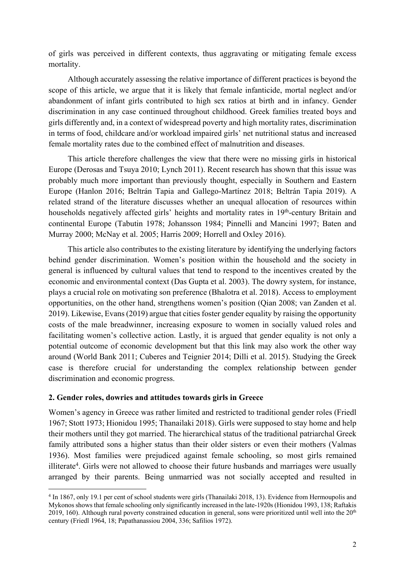of girls was perceived in different contexts, thus aggravating or mitigating female excess mortality.

Although accurately assessing the relative importance of different practices is beyond the scope of this article, we argue that it is likely that female infanticide, mortal neglect and/or abandonment of infant girls contributed to high sex ratios at birth and in infancy. Gender discrimination in any case continued throughout childhood. Greek families treated boys and girls differently and, in a context of widespread poverty and high mortality rates, discrimination in terms of food, childcare and/or workload impaired girls' net nutritional status and increased female mortality rates due to the combined effect of malnutrition and diseases.

This article therefore challenges the view that there were no missing girls in historical Europe (Derosas and Tsuya 2010; Lynch 2011). Recent research has shown that this issue was probably much more important than previously thought, especially in Southern and Eastern Europe (Hanlon 2016; Beltrán Tapia and Gallego-Martínez 2018; Beltrán Tapia 2019). A related strand of the literature discusses whether an unequal allocation of resources within households negatively affected girls' heights and mortality rates in 19<sup>th</sup>-century Britain and continental Europe (Tabutin 1978; Johansson 1984; Pinnelli and Mancini 1997; Baten and Murray 2000; McNay et al. 2005; Harris 2009; Horrell and Oxley 2016).

This article also contributes to the existing literature by identifying the underlying factors behind gender discrimination. Women's position within the household and the society in general is influenced by cultural values that tend to respond to the incentives created by the economic and environmental context (Das Gupta et al. 2003). The dowry system, for instance, plays a crucial role on motivating son preference (Bhalotra et al. 2018). Access to employment opportunities, on the other hand, strengthens women's position (Qian 2008; van Zanden et al. 2019). Likewise, Evans (2019) argue that cities foster gender equality by raising the opportunity costs of the male breadwinner, increasing exposure to women in socially valued roles and facilitating women's collective action. Lastly, it is argued that gender equality is not only a potential outcome of economic development but that this link may also work the other way around (World Bank 2011; Cuberes and Teignier 2014; Dilli et al. 2015). Studying the Greek case is therefore crucial for understanding the complex relationship between gender discrimination and economic progress.

# **2. Gender roles, dowries and attitudes towards girls in Greece**

Women's agency in Greece was rather limited and restricted to traditional gender roles (Friedl 1967; Stott 1973; Hionidou 1995; Thanailaki 2018). Girls were supposed to stay home and help their mothers until they got married. The hierarchical status of the traditional patriarchal Greek family attributed sons a higher status than their older sisters or even their mothers (Valmas 1936). Most families were prejudiced against female schooling, so most girls remained illiterate<sup>4</sup>. Girls were not allowed to choose their future husbands and marriages were usually arranged by their parents. Being unmarried was not socially accepted and resulted in

<sup>4</sup> In 1867, only 19.1 per cent of school students were girls (Thanailaki 2018, 13). Evidence from Hermoupolis and Mykonos shows that female schooling only significantly increased in the late-1920s (Hionidou 1993, 138; Raftakis 2019, 160). Although rural poverty constrained education in general, sons were prioritized until well into the  $20<sup>th</sup>$ century (Friedl 1964, 18; Papathanassiou 2004, 336; Safilios 1972).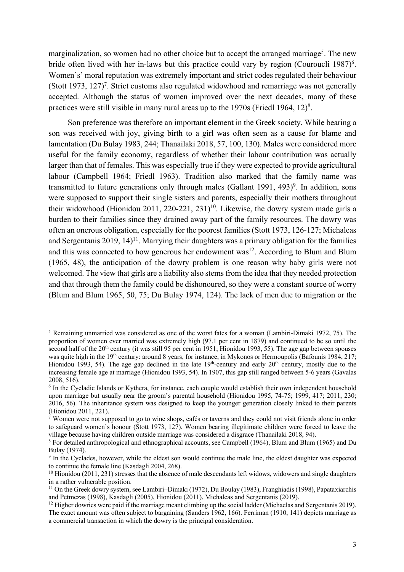marginalization, so women had no other choice but to accept the arranged marriage<sup>5</sup>. The new bride often lived with her in-laws but this practice could vary by region (Couroucli 1987)<sup>6</sup>. Women's' moral reputation was extremely important and strict codes regulated their behaviour (Stott 1973, 127)<sup>7</sup>. Strict customs also regulated widowhood and remarriage was not generally accepted. Although the status of women improved over the next decades, many of these practices were still visible in many rural areas up to the 1970s (Friedl 1964, 12) $8$ .

Son preference was therefore an important element in the Greek society. While bearing a son was received with joy, giving birth to a girl was often seen as a cause for blame and lamentation (Du Bulay 1983, 244; Thanailaki 2018, 57, 100, 130). Males were considered more useful for the family economy, regardless of whether their labour contribution was actually larger than that of females. This was especially true if they were expected to provide agricultural labour (Campbell 1964; Friedl 1963). Tradition also marked that the family name was transmitted to future generations only through males (Gallant 1991, 493)<sup>9</sup>. In addition, sons were supposed to support their single sisters and parents, especially their mothers throughout their widowhood (Hionidou 2011, 220-221, 231) 10. Likewise, the dowry system made girls a burden to their families since they drained away part of the family resources. The dowry was often an onerous obligation, especially for the poorest families (Stott 1973, 126-127; Michaleas and Sergentanis  $2019, 14$ <sup> $11$ </sup>. Marrying their daughters was a primary obligation for the families and this was connected to how generous her endowment was<sup>12</sup>. According to Blum and Blum (1965, 48), the anticipation of the dowry problem is one reason why baby girls were not welcomed. The view that girls are a liability also stems from the idea that they needed protection and that through them the family could be dishonoured, so they were a constant source of worry (Blum and Blum 1965, 50, 75; Du Bulay 1974, 124). The lack of men due to migration or the

<sup>&</sup>lt;sup>5</sup> Remaining unmarried was considered as one of the worst fates for a woman (Lambiri-Dimaki 1972, 75). The proportion of women ever married was extremely high (97.1 per cent in 1879) and continued to be so until the second half of the 20<sup>th</sup> century (it was still 95 per cent in 1951; Hionidou 1993, 55). The age gap between spouses was quite high in the 19<sup>th</sup> century: around 8 years, for instance, in Mykonos or Hermoupolis (Bafounis 1984, 217; Hionidou 1993, 54). The age gap declined in the late  $19<sup>th</sup>$ -century and early  $20<sup>th</sup>$  century, mostly due to the increasing female age at marriage (Hionidou 1993, 54). In 1907, this gap still ranged between 5-6 years (Gavalas 2008, 516).

<sup>&</sup>lt;sup>6</sup> In the Cycladic Islands or Kythera, for instance, each couple would establish their own independent household upon marriage but usually near the groom's parental household (Hionidou 1995, 74-75; 1999, 417; 2011, 230; 2016, 56). The inheritance system was designed to keep the younger generation closely linked to their parents (Hionidou 2011, 221).

Women were not supposed to go to wine shops, cafés or taverns and they could not visit friends alone in order to safeguard women's honour (Stott 1973, 127). Women bearing illegitimate children were forced to leave the village because having children outside marriage was considered a disgrace (Thanailaki 2018, 94).

<sup>&</sup>lt;sup>8</sup> For detailed anthropological and ethnographical accounts, see Campbell (1964), Blum and Blum (1965) and Du Bulay (1974).

<sup>&</sup>lt;sup>9</sup> In the Cyclades, however, while the eldest son would continue the male line, the eldest daughter was expected to continue the female line (Kasdagli 2004, 268).

 $10$  Hionidou (2011, 231) stresses that the absence of male descendants left widows, widowers and single daughters in a rather vulnerable position.

<sup>11</sup> On the Greek dowry system, see Lambiri–Dimaki (1972), Du Boulay (1983), Franghiadis (1998), Papataxiarchis and Petmezas (1998), Kasdagli (2005), Hionidou (2011), Michaleas and Sergentanis (2019).

<sup>&</sup>lt;sup>12</sup> Higher dowries were paid if the marriage meant climbing up the social ladder (Michaelas and Sergentanis 2019). The exact amount was often subject to bargaining (Sanders 1962, 166). Ferriman (1910, 141) depicts marriage as a commercial transaction in which the dowry is the principal consideration.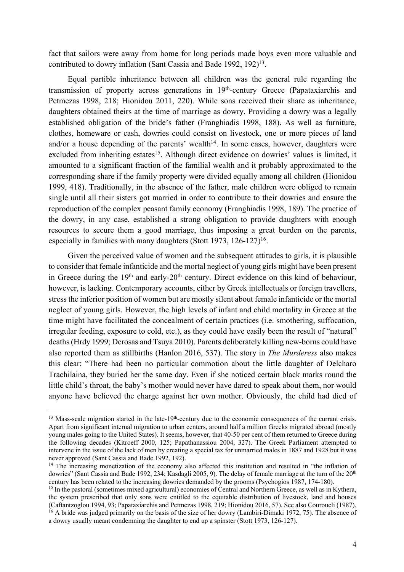fact that sailors were away from home for long periods made boys even more valuable and contributed to dowry inflation (Sant Cassia and Bade 1992, 192)<sup>13</sup>.

Equal partible inheritance between all children was the general rule regarding the transmission of property across generations in 19<sup>th</sup>-century Greece (Papataxiarchis and Petmezas 1998, 218; Hionidou 2011, 220). While sons received their share as inheritance, daughters obtained theirs at the time of marriage as dowry. Providing a dowry was a legally established obligation of the bride's father (Franghiadis 1998, 188). As well as furniture, clothes, homeware or cash, dowries could consist on livestock, one or more pieces of land and/or a house depending of the parents' wealth $14$ . In some cases, however, daughters were excluded from inheriting estates<sup>15</sup>. Although direct evidence on dowries' values is limited, it amounted to a significant fraction of the familial wealth and it probably approximated to the corresponding share if the family property were divided equally among all children (Hionidou 1999, 418). Traditionally, in the absence of the father, male children were obliged to remain single until all their sisters got married in order to contribute to their dowries and ensure the reproduction of the complex peasant family economy (Franghiadis 1998, 189). The practice of the dowry, in any case, established a strong obligation to provide daughters with enough resources to secure them a good marriage, thus imposing a great burden on the parents, especially in families with many daughters (Stott 1973, 126-127)<sup>16</sup>.

Given the perceived value of women and the subsequent attitudes to girls, it is plausible to consider that female infanticide and the mortal neglect of young girls might have been present in Greece during the  $19<sup>th</sup>$  and early- $20<sup>th</sup>$  century. Direct evidence on this kind of behaviour, however, is lacking. Contemporary accounts, either by Greek intellectuals or foreign travellers, stress the inferior position of women but are mostly silent about female infanticide or the mortal neglect of young girls. However, the high levels of infant and child mortality in Greece at the time might have facilitated the concealment of certain practices (i.e. smothering, suffocation, irregular feeding, exposure to cold, etc.), as they could have easily been the result of "natural" deaths(Hrdy 1999; Derosas and Tsuya 2010). Parents deliberately killing new-borns could have also reported them as stillbirths (Hanlon 2016, 537). The story in *The Murderess* also makes this clear: "There had been no particular commotion about the little daughter of Delcharo Trachilaina, they buried her the same day. Even if she noticed certain black marks round the little child's throat, the baby's mother would never have dared to speak about them, nor would anyone have believed the charge against her own mother. Obviously, the child had died of

<sup>&</sup>lt;sup>13</sup> Mass-scale migration started in the late-19<sup>th</sup>-century due to the economic consequences of the currant crisis. Apart from significant internal migration to urban centers, around half a million Greeks migrated abroad (mostly young males going to the United States). It seems, however, that 40-50 per cent of them returned to Greece during the following decades (Kitroeff 2000, 125; Papathanassiou 2004, 327). The Greek Parliament attempted to intervene in the issue of the lack of men by creating a special tax for unmarried males in 1887 and 1928 but it was

<sup>&</sup>lt;sup>14</sup> The increasing monetization of the economy also affected this institution and resulted in "the inflation of dowries" (Sant Cassia and Bade 1992, 234; Kasdagli 2005, 9). The delay of female marriage at the turn of the 20<sup>th</sup> century has been related to the increasing dowries demanded by the grooms (Psychogios 1987, 174-180).

<sup>&</sup>lt;sup>15</sup> In the pastoral (sometimes mixed agricultural) economies of Central and Northern Greece, as well as in Kythera, the system prescribed that only sons were entitled to the equitable distribution of livestock, land and houses (Caftantzoglou 1994, 93; Papataxiarchis and Petmezas 1998, 219; Hionidou 2016, 57). See also Couroucli (1987). <sup>16</sup> A bride was judged primarily on the basis of the size of her dowry (Lambiri-Dimaki 1972, 75). The absence of a dowry usually meant condemning the daughter to end up a spinster (Stott 1973, 126-127).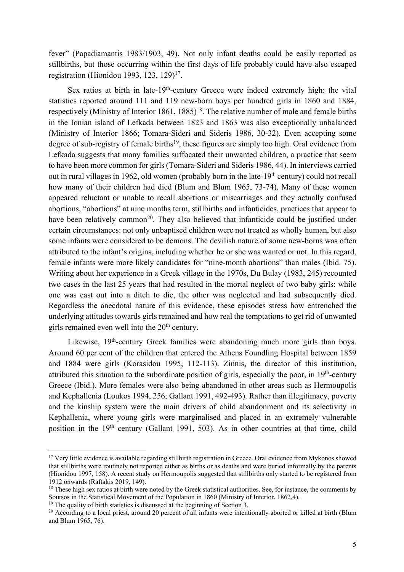fever" (Papadiamantis 1983/1903, 49). Not only infant deaths could be easily reported as stillbirths, but those occurring within the first days of life probably could have also escaped registration (Hionidou 1993, 123, 129)17.

Sex ratios at birth in late-19<sup>th</sup>-century Greece were indeed extremely high: the vital statistics reported around 111 and 119 new-born boys per hundred girls in 1860 and 1884, respectively (Ministry of Interior 1861, 1885)<sup>18</sup>. The relative number of male and female births in the Ionian island of Lefkada between 1823 and 1863 was also exceptionally unbalanced (Ministry of Interior 1866; Tomara-Sideri and Sideris 1986, 30-32). Even accepting some degree of sub-registry of female births<sup>19</sup>, these figures are simply too high. Oral evidence from Lefkada suggests that many families suffocated their unwanted children, a practice that seem to have been more common for girls (Tomara-Sideri and Sideris 1986, 44). In interviews carried out in rural villages in 1962, old women (probably born in the late-19<sup>th</sup> century) could not recall how many of their children had died (Blum and Blum 1965, 73-74). Many of these women appeared reluctant or unable to recall abortions or miscarriages and they actually confused abortions, "abortions" at nine months term, stillbirths and infanticides, practices that appear to have been relatively common<sup>20</sup>. They also believed that infanticide could be justified under certain circumstances: not only unbaptised children were not treated as wholly human, but also some infants were considered to be demons. The devilish nature of some new-borns was often attributed to the infant's origins, including whether he or she was wanted or not. In this regard, female infants were more likely candidates for "nine-month abortions" than males (Ibid. 75). Writing about her experience in a Greek village in the 1970s, Du Bulay (1983, 245) recounted two cases in the last 25 years that had resulted in the mortal neglect of two baby girls: while one was cast out into a ditch to die, the other was neglected and had subsequently died. Regardless the anecdotal nature of this evidence, these episodes stress how entrenched the underlying attitudes towards girls remained and how real the temptations to get rid of unwanted girls remained even well into the  $20<sup>th</sup>$  century.

Likewise, 19<sup>th</sup>-century Greek families were abandoning much more girls than boys. Around 60 per cent of the children that entered the Athens Foundling Hospital between 1859 and 1884 were girls (Korasidou 1995, 112-113). Zinnis, the director of this institution, attributed this situation to the subordinate position of girls, especially the poor, in  $19<sup>th</sup>$ -century Greece (Ibid.). More females were also being abandoned in other areas such as Hermoupolis and Kephallenia (Loukos 1994, 256; Gallant 1991, 492-493). Rather than illegitimacy, poverty and the kinship system were the main drivers of child abandonment and its selectivity in Kephallenia, where young girls were marginalised and placed in an extremely vulnerable position in the 19<sup>th</sup> century (Gallant 1991, 503). As in other countries at that time, child

 $17$  Very little evidence is available regarding stillbirth registration in Greece. Oral evidence from Mykonos showed that stillbirths were routinely not reported either as births or as deaths and were buried informally by the parents (Hionidou 1997, 158). A recent study on Hermoupolis suggested that stillbirths only started to be registered from 1912 onwards (Raftakis 2019, 149).

<sup>&</sup>lt;sup>18</sup> These high sex ratios at birth were noted by the Greek statistical authorities. See, for instance, the comments by Soutsos in the Statistical Movement of the Population in 1860 (Ministry of Interior, 1862,4).

<sup>&</sup>lt;sup>19</sup> The quality of birth statistics is discussed at the beginning of Section 3.

<sup>&</sup>lt;sup>20</sup> According to a local priest, around 20 percent of all infants were intentionally aborted or killed at birth (Blum and Blum 1965, 76).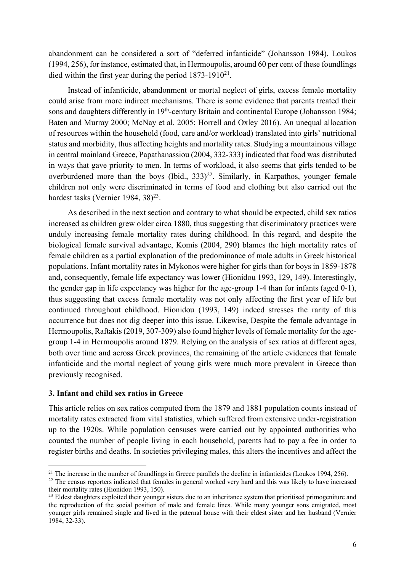abandonment can be considered a sort of "deferred infanticide" (Johansson 1984). Loukos (1994, 256), for instance, estimated that, in Hermoupolis, around 60 per cent of these foundlings died within the first year during the period 1873-1910<sup>21</sup>.

Instead of infanticide, abandonment or mortal neglect of girls, excess female mortality could arise from more indirect mechanisms. There is some evidence that parents treated their sons and daughters differently in 19<sup>th</sup>-century Britain and continental Europe (Johansson 1984; Baten and Murray 2000; McNay et al. 2005; Horrell and Oxley 2016). An unequal allocation of resources within the household (food, care and/or workload) translated into girls' nutritional status and morbidity, thus affecting heights and mortality rates. Studying a mountainous village in central mainland Greece, Papathanassiou (2004, 332-333) indicated that food was distributed in ways that gave priority to men. In terms of workload, it also seems that girls tended to be overburdened more than the boys (Ibid.,  $333$ )<sup>22</sup>. Similarly, in Karpathos, younger female children not only were discriminated in terms of food and clothing but also carried out the hardest tasks (Vernier 1984, 38)<sup>23</sup>.

As described in the next section and contrary to what should be expected, child sex ratios increased as children grew older circa 1880, thus suggesting that discriminatory practices were unduly increasing female mortality rates during childhood. In this regard, and despite the biological female survival advantage, Komis (2004, 290) blames the high mortality rates of female children as a partial explanation of the predominance of male adults in Greek historical populations. Infant mortality rates in Mykonos were higher for girls than for boys in 1859-1878 and, consequently, female life expectancy was lower (Hionidou 1993, 129, 149). Interestingly, the gender gap in life expectancy was higher for the age-group 1-4 than for infants (aged 0-1), thus suggesting that excess female mortality was not only affecting the first year of life but continued throughout childhood. Hionidou (1993, 149) indeed stresses the rarity of this occurrence but does not dig deeper into this issue. Likewise, Despite the female advantage in Hermoupolis, Raftakis (2019, 307-309) also found higher levels of female mortality for the agegroup 1-4 in Hermoupolis around 1879. Relying on the analysis of sex ratios at different ages, both over time and across Greek provinces, the remaining of the article evidences that female infanticide and the mortal neglect of young girls were much more prevalent in Greece than previously recognised.

### **3. Infant and child sex ratios in Greece**

This article relies on sex ratios computed from the 1879 and 1881 population counts instead of mortality rates extracted from vital statistics, which suffered from extensive under-registration up to the 1920s. While population censuses were carried out by appointed authorities who counted the number of people living in each household, parents had to pay a fee in order to register births and deaths. In societies privileging males, this alters the incentives and affect the

<sup>&</sup>lt;sup>21</sup> The increase in the number of foundlings in Greece parallels the decline in infanticides (Loukos 1994, 256).

<sup>&</sup>lt;sup>22</sup> The census reporters indicated that females in general worked very hard and this was likely to have increased their mortality rates (Hionidou 1993, 150).

 $^{23}$  Eldest daughters exploited their younger sisters due to an inheritance system that prioritised primogeniture and the reproduction of the social position of male and female lines. While many younger sons emigrated, most younger girls remained single and lived in the paternal house with their eldest sister and her husband (Vernier 1984, 32-33).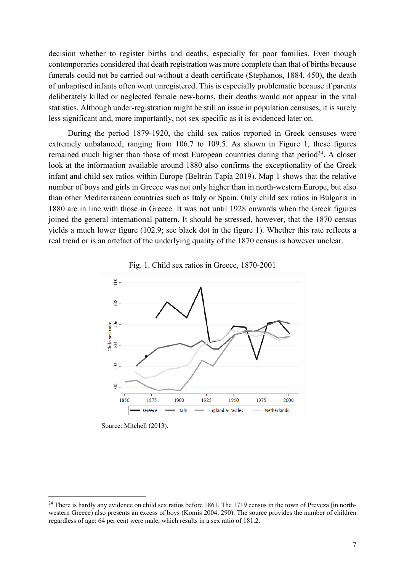decision whether to register births and deaths, especially for poor families. Even though contemporaries considered that death registration was more complete than that of births because funerals could not be carried out without a death certificate (Stephanos, 1884, 450), the death of unbaptised infants often went unregistered. This is especially problematic because if parents deliberately killed or neglected female new-borns, their deaths would not appear in the vital statistics. Although under-registration might be still an issue in population censuses, it is surely less significant and, more importantly, not sex-specific as it is evidenced later on.

During the period 1879-1920, the child sex ratios reported in Greek censuses were extremely unbalanced, ranging from 106.7 to 109.5. As shown in Figure 1, these figures remained much higher than those of most European countries during that period<sup>24</sup>. A closer look at the information available around 1880 also confirms the exceptionality of the Greek infant and child sex ratios within Europe (Beltrán Tapia 2019). Map 1 shows that the relative number of boys and girls in Greece was not only higher than in north-western Europe, but also than other Mediterranean countries such as Italy or Spain. Only child sex ratios in Bulgaria in 1880 are in line with those in Greece. It was not until 1928 onwards when the Greek figures joined the general international pattern. It should be stressed, however, that the 1870 census yields a much lower figure (102.9; see black dot in the figure 1). Whether this rate reflects a real trend or is an artefact of the underlying quality of the 1870 census is however unclear.





Source: Mitchell (2013).

 $^{24}$  There is hardly any evidence on child sex ratios before 1861. The 1719 census in the town of Preveza (in northwestern Greece) also presents an excess of boys (Komis 2004, 290). The source provides the number of children regardless of age: 64 per cent were male, which results in a sex ratio of 181.2.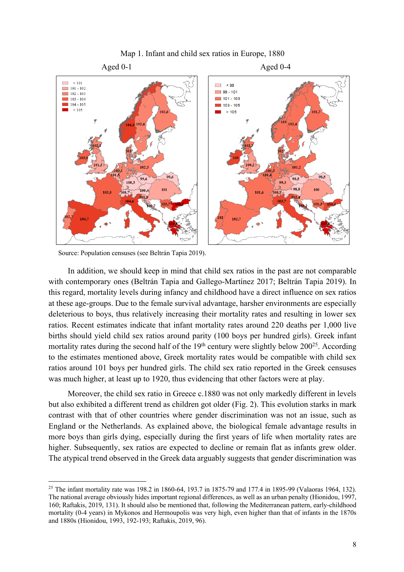

## Map 1. Infant and child sex ratios in Europe, 1880

Source: Population censuses (see Beltrán Tapia 2019).

In addition, we should keep in mind that child sex ratios in the past are not comparable with contemporary ones (Beltrán Tapia and Gallego-Martínez 2017; Beltrán Tapia 2019). In this regard, mortality levels during infancy and childhood have a direct influence on sex ratios at these age-groups. Due to the female survival advantage, harsher environments are especially deleterious to boys, thus relatively increasing their mortality rates and resulting in lower sex ratios. Recent estimates indicate that infant mortality rates around 220 deaths per 1,000 live births should yield child sex ratios around parity (100 boys per hundred girls). Greek infant mortality rates during the second half of the  $19<sup>th</sup>$  century were slightly below  $200<sup>25</sup>$ . According to the estimates mentioned above, Greek mortality rates would be compatible with child sex ratios around 101 boys per hundred girls. The child sex ratio reported in the Greek censuses was much higher, at least up to 1920, thus evidencing that other factors were at play.

Moreover, the child sex ratio in Greece c.1880 was not only markedly different in levels but also exhibited a different trend as children got older (Fig. 2). This evolution starks in mark contrast with that of other countries where gender discrimination was not an issue, such as England or the Netherlands. As explained above, the biological female advantage results in more boys than girls dying, especially during the first years of life when mortality rates are higher. Subsequently, sex ratios are expected to decline or remain flat as infants grew older. The atypical trend observed in the Greek data arguably suggests that gender discrimination was

<sup>25</sup> The infant mortality rate was 198.2 in 1860-64, 193.7 in 1875-79 and 177.4 in 1895-99 (Valaoras 1964, 132). The national average obviously hides important regional differences, as well as an urban penalty (Hionidou, 1997, 160; Raftakis, 2019, 131). It should also be mentioned that, following the Mediterranean pattern, early-childhood mortality (0-4 years) in Mykonos and Hermoupolis was very high, even higher than that of infants in the 1870s and 1880s (Hionidou, 1993, 192-193; Raftakis, 2019, 96).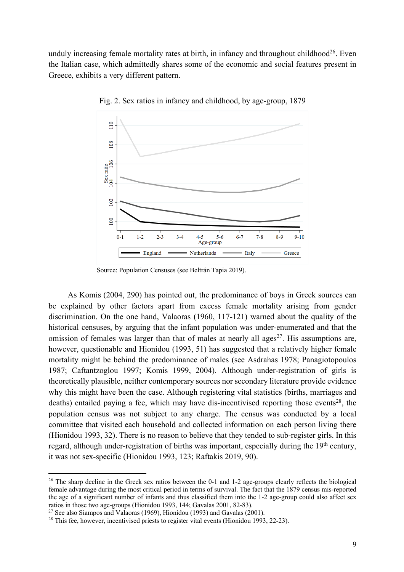unduly increasing female mortality rates at birth, in infancy and throughout childhood<sup>26</sup>. Even the Italian case, which admittedly shares some of the economic and social features present in Greece, exhibits a very different pattern.



Fig. 2. Sex ratios in infancy and childhood, by age-group, 1879

As Komis (2004, 290) has pointed out, the predominance of boys in Greek sources can be explained by other factors apart from excess female mortality arising from gender discrimination. On the one hand, Valaoras (1960, 117-121) warned about the quality of the historical censuses, by arguing that the infant population was under-enumerated and that the omission of females was larger than that of males at nearly all ages<sup>27</sup>. His assumptions are, however, questionable and Hionidou (1993, 51) has suggested that a relatively higher female mortality might be behind the predominance of males (see Asdrahas 1978; Panagiotopoulos 1987; Caftantzoglou 1997; Komis 1999, 2004). Although under-registration of girls is theoretically plausible, neither contemporary sources nor secondary literature provide evidence why this might have been the case. Although registering vital statistics (births, marriages and deaths) entailed paying a fee, which may have dis-incentivised reporting those events<sup>28</sup>, the population census was not subject to any charge. The census was conducted by a local committee that visited each household and collected information on each person living there (Hionidou 1993, 32). There is no reason to believe that they tended to sub-register girls. In this regard, although under-registration of births was important, especially during the 19<sup>th</sup> century, it was not sex-specific (Hionidou 1993, 123; Raftakis 2019, 90).

Source: Population Censuses (see Beltrán Tapia 2019).

<sup>&</sup>lt;sup>26</sup> The sharp decline in the Greek sex ratios between the 0-1 and 1-2 age-groups clearly reflects the biological female advantage during the most critical period in terms of survival. The fact that the 1879 census mis-reported the age of a significant number of infants and thus classified them into the 1-2 age-group could also affect sex ratios in those two age-groups (Hionidou 1993, 144; Gavalas 2001, 82-83).

<sup>27</sup> See also Siampos and Valaoras (1969), Hionidou (1993) and Gavalas (2001).

<sup>&</sup>lt;sup>28</sup> This fee, however, incentivised priests to register vital events (Hionidou 1993, 22-23).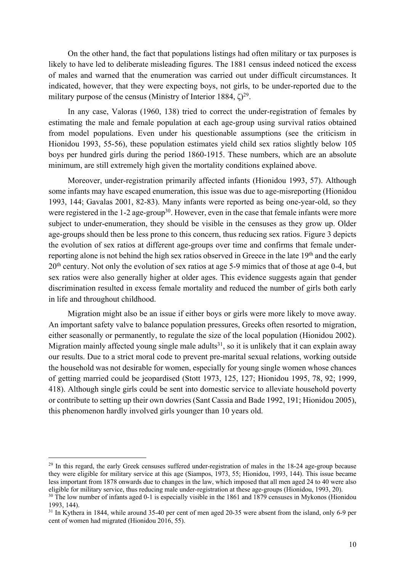On the other hand, the fact that populations listings had often military or tax purposes is likely to have led to deliberate misleading figures. The 1881 census indeed noticed the excess of males and warned that the enumeration was carried out under difficult circumstances. It indicated, however, that they were expecting boys, not girls, to be under-reported due to the military purpose of the census (Ministry of Interior 1884,  $\zeta$ )<sup>29</sup>.

In any case, Valoras (1960, 138) tried to correct the under-registration of females by estimating the male and female population at each age-group using survival ratios obtained from model populations. Even under his questionable assumptions (see the criticism in Hionidou 1993, 55-56), these population estimates yield child sex ratios slightly below 105 boys per hundred girls during the period 1860-1915. These numbers, which are an absolute minimum, are still extremely high given the mortality conditions explained above.

Moreover, under-registration primarily affected infants (Hionidou 1993, 57). Although some infants may have escaped enumeration, this issue was due to age-misreporting (Hionidou 1993, 144; Gavalas 2001, 82-83). Many infants were reported as being one-year-old, so they were registered in the 1-2 age-group<sup>30</sup>. However, even in the case that female infants were more subject to under-enumeration, they should be visible in the censuses as they grow up. Older age-groups should then be less prone to this concern, thus reducing sex ratios. Figure 3 depicts the evolution of sex ratios at different age-groups over time and confirms that female underreporting alone is not behind the high sex ratios observed in Greece in the late 19<sup>th</sup> and the early 20<sup>th</sup> century. Not only the evolution of sex ratios at age 5-9 mimics that of those at age 0-4, but sex ratios were also generally higher at older ages. This evidence suggests again that gender discrimination resulted in excess female mortality and reduced the number of girls both early in life and throughout childhood.

Migration might also be an issue if either boys or girls were more likely to move away. An important safety valve to balance population pressures, Greeks often resorted to migration, either seasonally or permanently, to regulate the size of the local population (Hionidou 2002). Migration mainly affected young single male adults<sup>31</sup>, so it is unlikely that it can explain away our results. Due to a strict moral code to prevent pre-marital sexual relations, working outside the household was not desirable for women, especially for young single women whose chances of getting married could be jeopardised (Stott 1973, 125, 127; Hionidou 1995, 78, 92; 1999, 418). Although single girls could be sent into domestic service to alleviate household poverty or contribute to setting up their own dowries (Sant Cassia and Bade 1992, 191; Hionidou 2005), this phenomenon hardly involved girls younger than 10 years old.

<sup>&</sup>lt;sup>29</sup> In this regard, the early Greek censuses suffered under-registration of males in the 18-24 age-group because they were eligible for military service at this age (Siampos, 1973, 55; Hionidou, 1993, 144). This issue became less important from 1878 onwards due to changes in the law, which imposed that all men aged 24 to 40 were also eligible for military service, thus reducing male under-registration at these age-groups (Hionidou, 1993, 20).

<sup>&</sup>lt;sup>30</sup> The low number of infants aged 0-1 is especially visible in the 1861 and 1879 censuses in Mykonos (Hionidou 1993, 144).

<sup>&</sup>lt;sup>31</sup> In Kythera in 1844, while around 35-40 per cent of men aged 20-35 were absent from the island, only 6-9 per cent of women had migrated (Hionidou 2016, 55).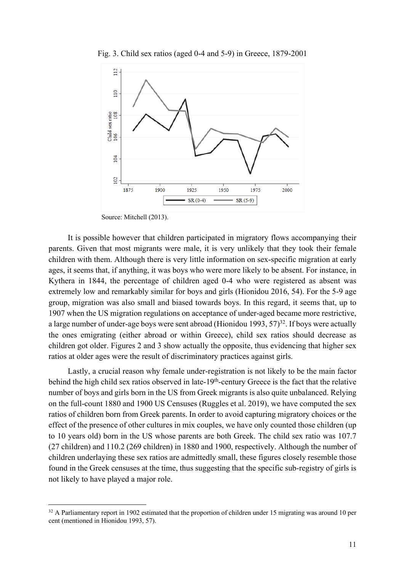

Fig. 3. Child sex ratios (aged 0-4 and 5-9) in Greece, 1879-2001

Source: Mitchell (2013).

It is possible however that children participated in migratory flows accompanying their parents. Given that most migrants were male, it is very unlikely that they took their female children with them. Although there is very little information on sex-specific migration at early ages, it seems that, if anything, it was boys who were more likely to be absent. For instance, in Kythera in 1844, the percentage of children aged 0-4 who were registered as absent was extremely low and remarkably similar for boys and girls (Hionidou 2016, 54). For the 5-9 age group, migration was also small and biased towards boys. In this regard, it seems that, up to 1907 when the US migration regulations on acceptance of under-aged became more restrictive, a large number of under-age boys were sent abroad (Hionidou 1993,  $57$ )<sup>32</sup>. If boys were actually the ones emigrating (either abroad or within Greece), child sex ratios should decrease as children got older. Figures 2 and 3 show actually the opposite, thus evidencing that higher sex ratios at older ages were the result of discriminatory practices against girls.

Lastly, a crucial reason why female under-registration is not likely to be the main factor behind the high child sex ratios observed in late-19<sup>th</sup>-century Greece is the fact that the relative number of boys and girls born in the US from Greek migrants is also quite unbalanced. Relying on the full-count 1880 and 1900 US Censuses (Ruggles et al. 2019), we have computed the sex ratios of children born from Greek parents. In order to avoid capturing migratory choices or the effect of the presence of other cultures in mix couples, we have only counted those children (up to 10 years old) born in the US whose parents are both Greek. The child sex ratio was 107.7 (27 children) and 110.2 (269 children) in 1880 and 1900, respectively. Although the number of children underlaying these sex ratios are admittedly small, these figures closely resemble those found in the Greek censuses at the time, thus suggesting that the specific sub-registry of girls is not likely to have played a major role.

 $32$  A Parliamentary report in 1902 estimated that the proportion of children under 15 migrating was around 10 per cent (mentioned in Hionidou 1993, 57).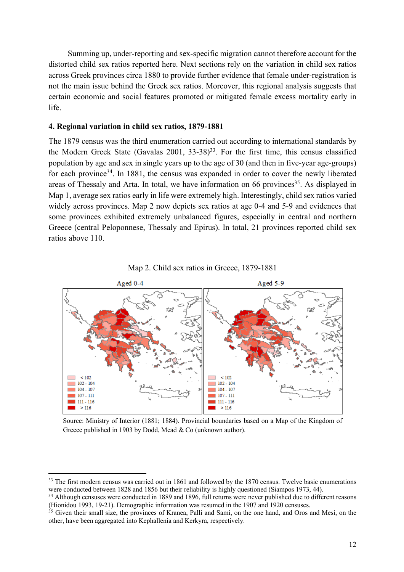Summing up, under-reporting and sex-specific migration cannot therefore account for the distorted child sex ratios reported here. Next sections rely on the variation in child sex ratios across Greek provinces circa 1880 to provide further evidence that female under-registration is not the main issue behind the Greek sex ratios. Moreover, this regional analysis suggests that certain economic and social features promoted or mitigated female excess mortality early in life.

### **4. Regional variation in child sex ratios, 1879-1881**

The 1879 census was the third enumeration carried out according to international standards by the Modern Greek State (Gavalas 2001, 33-38) 33. For the first time, this census classified population by age and sex in single years up to the age of 30 (and then in five-year age-groups) for each province<sup>34</sup>. In 1881, the census was expanded in order to cover the newly liberated areas of Thessaly and Arta. In total, we have information on 66 provinces<sup>35</sup>. As displayed in Map 1, average sex ratios early in life were extremely high. Interestingly, child sex ratios varied widely across provinces. Map 2 now depicts sex ratios at age 0-4 and 5-9 and evidences that some provinces exhibited extremely unbalanced figures, especially in central and northern Greece (central Peloponnese, Thessaly and Epirus). In total, 21 provinces reported child sex ratios above 110.





Source: Ministry of Interior (1881; 1884). Provincial boundaries based on a Map of the Kingdom of Greece published in 1903 by Dodd, Mead & Co (unknown author).

<sup>&</sup>lt;sup>33</sup> The first modern census was carried out in 1861 and followed by the 1870 census. Twelve basic enumerations were conducted between 1828 and 1856 but their reliability is highly questioned (Siampos 1973, 44).

<sup>&</sup>lt;sup>34</sup> Although censuses were conducted in 1889 and 1896, full returns were never published due to different reasons (Hionidou 1993, 19-21). Demographic information was resumed in the 1907 and 1920 censuses.

<sup>&</sup>lt;sup>35</sup> Given their small size, the provinces of Kranea, Palli and Sami, on the one hand, and Oros and Mesi, on the other, have been aggregated into Kephallenia and Kerkyra, respectively.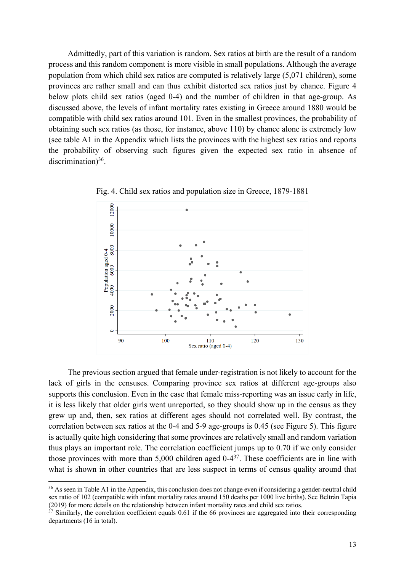Admittedly, part of this variation is random. Sex ratios at birth are the result of a random process and this random component is more visible in small populations. Although the average population from which child sex ratios are computed is relatively large (5,071 children), some provinces are rather small and can thus exhibit distorted sex ratios just by chance. Figure 4 below plots child sex ratios (aged 0-4) and the number of children in that age-group. As discussed above, the levels of infant mortality rates existing in Greece around 1880 would be compatible with child sex ratios around 101. Even in the smallest provinces, the probability of obtaining such sex ratios (as those, for instance, above 110) by chance alone is extremely low (see table A1 in the Appendix which lists the provinces with the highest sex ratios and reports the probability of observing such figures given the expected sex ratio in absence of discrimination) $36$ .



Fig. 4. Child sex ratios and population size in Greece, 1879-1881

The previous section argued that female under-registration is not likely to account for the lack of girls in the censuses. Comparing province sex ratios at different age-groups also supports this conclusion. Even in the case that female miss-reporting was an issue early in life, it is less likely that older girls went unreported, so they should show up in the census as they grew up and, then, sex ratios at different ages should not correlated well. By contrast, the correlation between sex ratios at the 0-4 and 5-9 age-groups is 0.45 (see Figure 5). This figure is actually quite high considering that some provinces are relatively small and random variation thus plays an important role. The correlation coefficient jumps up to 0.70 if we only consider those provinces with more than  $5,000$  children aged  $0-4^{37}$ . These coefficients are in line with what is shown in other countries that are less suspect in terms of census quality around that

<sup>&</sup>lt;sup>36</sup> As seen in Table A1 in the Appendix, this conclusion does not change even if considering a gender-neutral child sex ratio of 102 (compatible with infant mortality rates around 150 deaths per 1000 live births). See Beltrán Tapia (2019) for more details on the relationship between infant mortality rates and child sex ratios.

<sup>&</sup>lt;sup>37</sup> Similarly, the correlation coefficient equals 0.61 if the 66 provinces are aggregated into their corresponding departments (16 in total).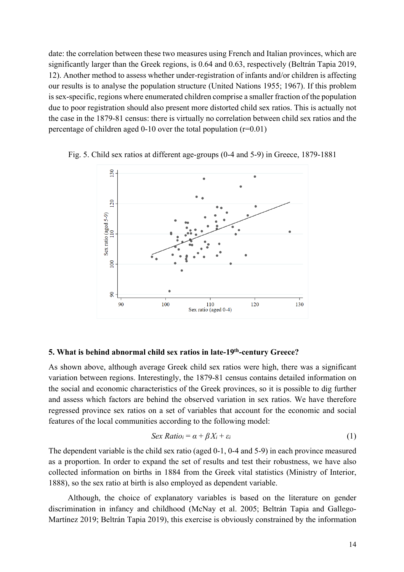date: the correlation between these two measures using French and Italian provinces, which are significantly larger than the Greek regions, is 0.64 and 0.63, respectively (Beltrán Tapia 2019, 12). Another method to assess whether under-registration of infants and/or children is affecting our results is to analyse the population structure (United Nations 1955; 1967). If this problem is sex-specific, regions where enumerated children comprise a smaller fraction of the population due to poor registration should also present more distorted child sex ratios. This is actually not the case in the 1879-81 census: there is virtually no correlation between child sex ratios and the percentage of children aged 0-10 over the total population  $(r=0.01)$ 



Fig. 5. Child sex ratios at different age-groups (0-4 and 5-9) in Greece, 1879-1881

#### **5. What is behind abnormal child sex ratios in late-19th-century Greece?**

As shown above, although average Greek child sex ratios were high, there was a significant variation between regions. Interestingly, the 1879-81 census contains detailed information on the social and economic characteristics of the Greek provinces, so it is possible to dig further and assess which factors are behind the observed variation in sex ratios. We have therefore regressed province sex ratios on a set of variables that account for the economic and social features of the local communities according to the following model:

$$
Sex Ratio_i = \alpha + \beta X_i + \varepsilon_i \tag{1}
$$

The dependent variable is the child sex ratio (aged 0-1, 0-4 and 5-9) in each province measured as a proportion. In order to expand the set of results and test their robustness, we have also collected information on births in 1884 from the Greek vital statistics (Ministry of Interior, 1888), so the sex ratio at birth is also employed as dependent variable.

Although, the choice of explanatory variables is based on the literature on gender discrimination in infancy and childhood (McNay et al. 2005; Beltrán Tapia and Gallego-Martínez 2019; Beltrán Tapia 2019), this exercise is obviously constrained by the information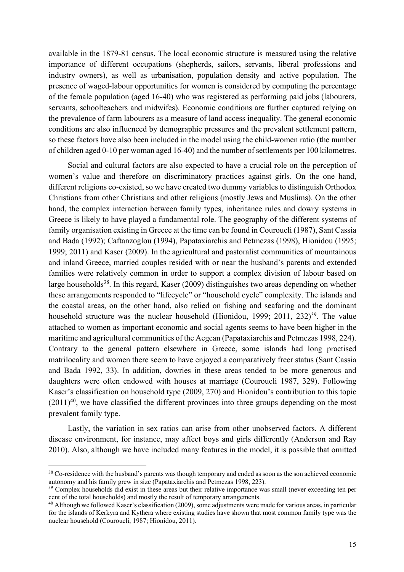available in the 1879-81 census. The local economic structure is measured using the relative importance of different occupations (shepherds, sailors, servants, liberal professions and industry owners), as well as urbanisation, population density and active population. The presence of waged-labour opportunities for women is considered by computing the percentage of the female population (aged 16-40) who was registered as performing paid jobs (labourers, servants, schoolteachers and midwifes). Economic conditions are further captured relying on the prevalence of farm labourers as a measure of land access inequality. The general economic conditions are also influenced by demographic pressures and the prevalent settlement pattern, so these factors have also been included in the model using the child-women ratio (the number of children aged 0-10 per woman aged 16-40) and the number of settlements per 100 kilometres.

Social and cultural factors are also expected to have a crucial role on the perception of women's value and therefore on discriminatory practices against girls. On the one hand, different religions co-existed, so we have created two dummy variables to distinguish Orthodox Christians from other Christians and other religions (mostly Jews and Muslims). On the other hand, the complex interaction between family types, inheritance rules and dowry systems in Greece is likely to have played a fundamental role. The geography of the different systems of family organisation existing in Greece at the time can be found in Couroucli (1987), Sant Cassia and Bada (1992); Caftanzoglou (1994), Papataxiarchis and Petmezas (1998), Hionidou (1995; 1999; 2011) and Kaser (2009). In the agricultural and pastoralist communities of mountainous and inland Greece, married couples resided with or near the husband's parents and extended families were relatively common in order to support a complex division of labour based on large households<sup>38</sup>. In this regard, Kaser (2009) distinguishes two areas depending on whether these arrangements responded to "lifecycle" or "household cycle" complexity. The islands and the coastal areas, on the other hand, also relied on fishing and seafaring and the dominant household structure was the nuclear household (Hionidou, 1999; 2011, 232)<sup>39</sup>. The value attached to women as important economic and social agents seems to have been higher in the maritime and agricultural communities of the Aegean (Papataxiarchis and Petmezas 1998, 224). Contrary to the general pattern elsewhere in Greece, some islands had long practised matrilocality and women there seem to have enjoyed a comparatively freer status (Sant Cassia and Bada 1992, 33). In addition, dowries in these areas tended to be more generous and daughters were often endowed with houses at marriage (Couroucli 1987, 329). Following Kaser's classification on household type (2009, 270) and Hionidou's contribution to this topic  $(2011)^{40}$ , we have classified the different provinces into three groups depending on the most prevalent family type.

Lastly, the variation in sex ratios can arise from other unobserved factors. A different disease environment, for instance, may affect boys and girls differently (Anderson and Ray 2010). Also, although we have included many features in the model, it is possible that omitted

<sup>&</sup>lt;sup>38</sup> Co-residence with the husband's parents was though temporary and ended as soon as the son achieved economic autonomy and his family grew in size (Papataxiarchis and Petmezas 1998, 223).

<sup>&</sup>lt;sup>39</sup> Complex households did exist in these areas but their relative importance was small (never exceeding ten per cent of the total households) and mostly the result of temporary arrangements.

<sup>&</sup>lt;sup>40</sup> Although we followed Kaser's classification (2009), some adjustments were made for various areas, in particular for the islands of Kerkyra and Kythera where existing studies have shown that most common family type was the nuclear household (Couroucli, 1987; Hionidou, 2011).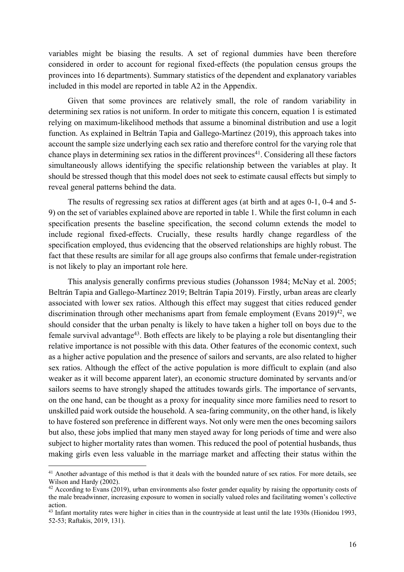variables might be biasing the results. A set of regional dummies have been therefore considered in order to account for regional fixed-effects (the population census groups the provinces into 16 departments). Summary statistics of the dependent and explanatory variables included in this model are reported in table A2 in the Appendix.

Given that some provinces are relatively small, the role of random variability in determining sex ratios is not uniform. In order to mitigate this concern, equation 1 is estimated relying on maximum-likelihood methods that assume a binominal distribution and use a logit function. As explained in Beltrán Tapia and Gallego-Martínez (2019), this approach takes into account the sample size underlying each sex ratio and therefore control for the varying role that chance plays in determining sex ratios in the different provinces $41$ . Considering all these factors simultaneously allows identifying the specific relationship between the variables at play. It should be stressed though that this model does not seek to estimate causal effects but simply to reveal general patterns behind the data.

The results of regressing sex ratios at different ages (at birth and at ages 0-1, 0-4 and 5- 9) on the set of variables explained above are reported in table 1. While the first column in each specification presents the baseline specification, the second column extends the model to include regional fixed-effects. Crucially, these results hardly change regardless of the specification employed, thus evidencing that the observed relationships are highly robust. The fact that these results are similar for all age groups also confirms that female under-registration is not likely to play an important role here.

This analysis generally confirms previous studies (Johansson 1984; McNay et al. 2005; Beltrán Tapia and Gallego-Martínez 2019; Beltrán Tapia 2019). Firstly, urban areas are clearly associated with lower sex ratios. Although this effect may suggest that cities reduced gender discrimination through other mechanisms apart from female employment (Evans  $2019)^{42}$ , we should consider that the urban penalty is likely to have taken a higher toll on boys due to the female survival advantage<sup>43</sup>. Both effects are likely to be playing a role but disentangling their relative importance is not possible with this data. Other features of the economic context, such as a higher active population and the presence of sailors and servants, are also related to higher sex ratios. Although the effect of the active population is more difficult to explain (and also weaker as it will become apparent later), an economic structure dominated by servants and/or sailors seems to have strongly shaped the attitudes towards girls. The importance of servants, on the one hand, can be thought as a proxy for inequality since more families need to resort to unskilled paid work outside the household. A sea-faring community, on the other hand, is likely to have fostered son preference in different ways. Not only were men the ones becoming sailors but also, these jobs implied that many men stayed away for long periods of time and were also subject to higher mortality rates than women. This reduced the pool of potential husbands, thus making girls even less valuable in the marriage market and affecting their status within the

<sup>&</sup>lt;sup>41</sup> Another advantage of this method is that it deals with the bounded nature of sex ratios. For more details, see Wilson and Hardy (2002).

 $42$  According to Evans (2019), urban environments also foster gender equality by raising the opportunity costs of the male breadwinner, increasing exposure to women in socially valued roles and facilitating women's collective action.

<sup>&</sup>lt;sup>43</sup> Infant mortality rates were higher in cities than in the countryside at least until the late 1930s (Hionidou 1993, 52-53; Raftakis, 2019, 131).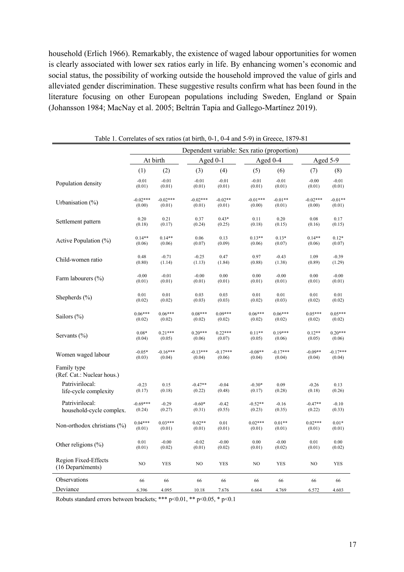household (Erlich 1966). Remarkably, the existence of waged labour opportunities for women is clearly associated with lower sex ratios early in life. By enhancing women's economic and social status, the possibility of working outside the household improved the value of girls and alleviated gender discrimination. These suggestive results confirm what has been found in the literature focusing on other European populations including Sweden, England or Spain (Johansson 1984; MacNay et al. 2005; Beltrán Tapia and Gallego-Martínez 2019).

|                                           |            |            | Dependent variable: Sex ratio (proportion) |            |            |            |            |            |
|-------------------------------------------|------------|------------|--------------------------------------------|------------|------------|------------|------------|------------|
|                                           | At birth   |            | Aged 0-1                                   |            |            | Aged 0-4   |            | Aged 5-9   |
|                                           | (1)        | (2)        | (3)                                        | (4)        | (5)        | (6)        | (7)        | (8)        |
| Population density                        | $-0.01$    | $-0.01$    | $-0.01$                                    | $-0.01$    | $-0.01$    | $-0.01$    | $-0.00$    | $-0.01$    |
|                                           | (0.01)     | (0.01)     | (0.01)                                     | (0.01)     | (0.01)     | (0.01)     | (0.01)     | (0.01)     |
| Urbanisation (%)                          | $-0.02***$ | $-0.02***$ | $-0.02***$                                 | $-0.02**$  | $-0.01***$ | $-0.01**$  | $-0.02***$ | $-0.01**$  |
|                                           | (0.00)     | (0.01)     | (0.01)                                     | (0.01)     | (0.00)     | (0.01)     | (0.00)     | (0.01)     |
| Settlement pattern                        | 0.20       | 0.21       | 0.37                                       | $0.43*$    | 0.11       | 0.20       | 0.08       | 0.17       |
|                                           | (0.18)     | (0.17)     | (0.24)                                     | (0.25)     | (0.18)     | (0.15)     | (0.16)     | (0.15)     |
| Active Population $(\%)$                  | $0.14**$   | $0.14**$   | 0.06                                       | 0.13       | $0.13**$   | $0.13*$    | $0.14**$   | $0.12*$    |
|                                           | (0.06)     | (0.06)     | (0.07)                                     | (0.09)     | (0.06)     | (0.07)     | (0.06)     | (0.07)     |
| Child-women ratio                         | 0.48       | $-0.71$    | $-0.25$                                    | 0.47       | 0.97       | $-0.43$    | 1.09       | $-0.39$    |
|                                           | (0.80)     | (1.14)     | (1.13)                                     | (1.84)     | (0.88)     | (1.38)     | (0.89)     | (1.29)     |
| Farm labourers (%)                        | $-0.00$    | $-0.01$    | $-0.00$                                    | 0.00       | 0.00       | $-0.00$    | 0.00       | $-0.00$    |
|                                           | (0.01)     | (0.01)     | (0.01)                                     | (0.01)     | (0.01)     | (0.01)     | (0.01)     | (0.01)     |
| Shepherds $(\% )$                         | 0.01       | 0.01       | 0.03                                       | 0.03       | 0.01       | 0.01       | 0.01       | $0.01\,$   |
|                                           | (0.02)     | (0.02)     | (0.03)                                     | (0.03)     | (0.02)     | (0.03)     | (0.02)     | (0.02)     |
| Sailors $(\% )$                           | $0.06***$  | $0.06***$  | $0.08***$                                  | $0.09***$  | $0.06***$  | $0.06***$  | $0.05***$  | $0.05***$  |
|                                           | (0.02)     | (0.02)     | (0.02)                                     | (0.02)     | (0.02)     | (0.02)     | (0.02)     | (0.02)     |
| Servants $(\% )$                          | $0.08*$    | $0.21***$  | $0.20***$                                  | $0.22***$  | $0.11**$   | $0.19***$  | $0.12**$   | $0.20***$  |
|                                           | (0.04)     | (0.05)     | (0.06)                                     | (0.07)     | (0.05)     | (0.06)     | (0.05)     | (0.06)     |
| Women waged labour                        | $-0.05*$   | $-0.16***$ | $-0.13***$                                 | $-0.17***$ | $-0.08**$  | $-0.17***$ | $-0.09**$  | $-0.17***$ |
|                                           | (0.03)     | (0.04)     | (0.04)                                     | (0.06)     | (0.04)     | (0.04)     | (0.04)     | (0.04)     |
| Family type<br>(Ref. Cat.: Nuclear hous.) |            |            |                                            |            |            |            |            |            |
| Patrivirilocal:                           | $-0.23$    | 0.15       | $-0.47**$                                  | $-0.04$    | $-0.30*$   | 0.09       | $-0.26$    | 0.13       |
| life-cycle complexity                     | (0.17)     | (0.18)     | (0.22)                                     | (0.48)     | (0.17)     | (0.28)     | (0.18)     | (0.26)     |
| Patrivirilocal:                           | $-0.69***$ | $-0.29$    | $-0.60*$                                   | $-0.42$    | $-0.52**$  | $-0.16$    | $-0.47**$  | $-0.10$    |
| household-cycle complex.                  | (0.24)     | (0.27)     | (0.31)                                     | (0.55)     | (0.23)     | (0.35)     | (0.22)     | (0.33)     |
| Non-orthodox christians (%)               | $0.04***$  | $0.03***$  | $0.02**$                                   | 0.01       | $0.02***$  | $0.01**$   | $0.02***$  | $0.01*$    |
|                                           | (0.01)     | (0.01)     | (0.01)                                     | (0.01)     | (0.01)     | (0.01)     | (0.01)     | (0.01)     |
| Other religions (%)                       | 0.01       | $-0.00$    | $-0.02$                                    | $-0.00$    | 0.00       | $-0.00$    | 0.01       | 0.00       |
|                                           | (0.01)     | (0.02)     | (0.01)                                     | (0.02)     | (0.01)     | (0.02)     | (0.01)     | (0.02)     |
| Region Fixed-Effects<br>(16 Departéments) | NO         | <b>YES</b> | NO                                         | <b>YES</b> | NO         | <b>YES</b> | NO         | <b>YES</b> |
| Observations                              | 66         | 66         | 66                                         | 66         | 66         | 66         | 66         | 66         |
| Deviance                                  | 6.396      | 4.095      | 10.18                                      | 7.676      | 6.664      | 4.769      | 6.572      | 4.603      |

Table 1. Correlates of sex ratios (at birth, 0-1, 0-4 and 5-9) in Greece, 1879-81

Robuts standard errors between brackets; \*\*\* p<0.01, \*\* p<0.05, \* p<0.1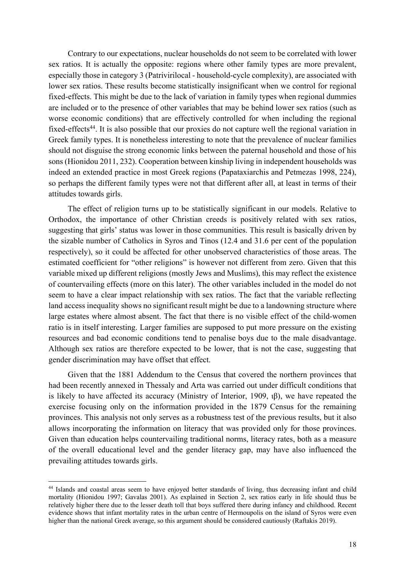Contrary to our expectations, nuclear households do not seem to be correlated with lower sex ratios. It is actually the opposite: regions where other family types are more prevalent, especially those in category 3 (Patrivirilocal - household-cycle complexity), are associated with lower sex ratios. These results become statistically insignificant when we control for regional fixed-effects. This might be due to the lack of variation in family types when regional dummies are included or to the presence of other variables that may be behind lower sex ratios (such as worse economic conditions) that are effectively controlled for when including the regional fixed-effects<sup>44</sup>. It is also possible that our proxies do not capture well the regional variation in Greek family types. It is nonetheless interesting to note that the prevalence of nuclear families should not disguise the strong economic links between the paternal household and those of his sons (Hionidou 2011, 232). Cooperation between kinship living in independent households was indeed an extended practice in most Greek regions (Papataxiarchis and Petmezas 1998, 224), so perhaps the different family types were not that different after all, at least in terms of their attitudes towards girls.

The effect of religion turns up to be statistically significant in our models. Relative to Orthodox, the importance of other Christian creeds is positively related with sex ratios, suggesting that girls' status was lower in those communities. This result is basically driven by the sizable number of Catholics in Syros and Tinos (12.4 and 31.6 per cent of the population respectively), so it could be affected for other unobserved characteristics of those areas. The estimated coefficient for "other religions" is however not different from zero. Given that this variable mixed up different religions (mostly Jews and Muslims), this may reflect the existence of countervailing effects (more on this later). The other variables included in the model do not seem to have a clear impact relationship with sex ratios. The fact that the variable reflecting land access inequality shows no significant result might be due to a landowning structure where large estates where almost absent. The fact that there is no visible effect of the child-women ratio is in itself interesting. Larger families are supposed to put more pressure on the existing resources and bad economic conditions tend to penalise boys due to the male disadvantage. Although sex ratios are therefore expected to be lower, that is not the case, suggesting that gender discrimination may have offset that effect.

Given that the 1881 Addendum to the Census that covered the northern provinces that had been recently annexed in Thessaly and Arta was carried out under difficult conditions that is likely to have affected its accuracy (Ministry of Interior, 1909, ιβ), we have repeated the exercise focusing only on the information provided in the 1879 Census for the remaining provinces. This analysis not only serves as a robustness test of the previous results, but it also allows incorporating the information on literacy that was provided only for those provinces. Given than education helps countervailing traditional norms, literacy rates, both as a measure of the overall educational level and the gender literacy gap, may have also influenced the prevailing attitudes towards girls.

<sup>44</sup> Islands and coastal areas seem to have enjoyed better standards of living, thus decreasing infant and child mortality (Hionidou 1997; Gavalas 2001). As explained in Section 2, sex ratios early in life should thus be relatively higher there due to the lesser death toll that boys suffered there during infancy and childhood. Recent evidence shows that infant mortality rates in the urban centre of Hermoupolis on the island of Syros were even higher than the national Greek average, so this argument should be considered cautiously (Raftakis 2019).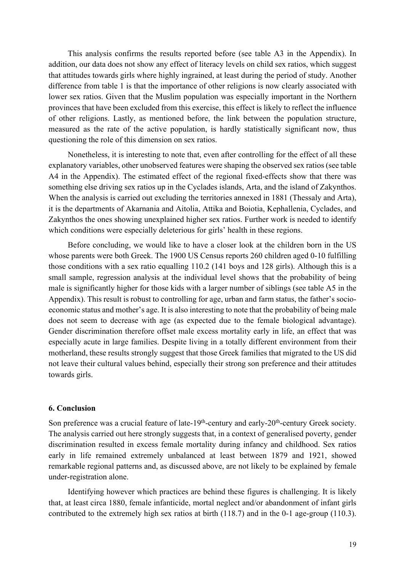This analysis confirms the results reported before (see table A3 in the Appendix). In addition, our data does not show any effect of literacy levels on child sex ratios, which suggest that attitudes towards girls where highly ingrained, at least during the period of study. Another difference from table 1 is that the importance of other religions is now clearly associated with lower sex ratios. Given that the Muslim population was especially important in the Northern provinces that have been excluded from this exercise, this effect is likely to reflect the influence of other religions. Lastly, as mentioned before, the link between the population structure, measured as the rate of the active population, is hardly statistically significant now, thus questioning the role of this dimension on sex ratios.

Nonetheless, it is interesting to note that, even after controlling for the effect of all these explanatory variables, other unobserved features were shaping the observed sex ratios (see table A4 in the Appendix). The estimated effect of the regional fixed-effects show that there was something else driving sex ratios up in the Cyclades islands, Arta, and the island of Zakynthos. When the analysis is carried out excluding the territories annexed in 1881 (Thessaly and Arta), it is the departments of Akarnania and Aitolia, Attika and Boiotia, Kephallenia, Cyclades, and Zakynthos the ones showing unexplained higher sex ratios. Further work is needed to identify which conditions were especially deleterious for girls' health in these regions.

Before concluding, we would like to have a closer look at the children born in the US whose parents were both Greek. The 1900 US Census reports 260 children aged 0-10 fulfilling those conditions with a sex ratio equalling 110.2 (141 boys and 128 girls). Although this is a small sample, regression analysis at the individual level shows that the probability of being male is significantly higher for those kids with a larger number of siblings (see table A5 in the Appendix). This result is robust to controlling for age, urban and farm status, the father's socioeconomic status and mother's age. It is also interesting to note that the probability of being male does not seem to decrease with age (as expected due to the female biological advantage). Gender discrimination therefore offset male excess mortality early in life, an effect that was especially acute in large families. Despite living in a totally different environment from their motherland, these results strongly suggest that those Greek families that migrated to the US did not leave their cultural values behind, especially their strong son preference and their attitudes towards girls.

## **6. Conclusion**

Son preference was a crucial feature of late-19<sup>th</sup>-century and early-20<sup>th</sup>-century Greek society. The analysis carried out here strongly suggests that, in a context of generalised poverty, gender discrimination resulted in excess female mortality during infancy and childhood. Sex ratios early in life remained extremely unbalanced at least between 1879 and 1921, showed remarkable regional patterns and, as discussed above, are not likely to be explained by female under-registration alone.

Identifying however which practices are behind these figures is challenging. It is likely that, at least circa 1880, female infanticide, mortal neglect and/or abandonment of infant girls contributed to the extremely high sex ratios at birth (118.7) and in the 0-1 age-group (110.3).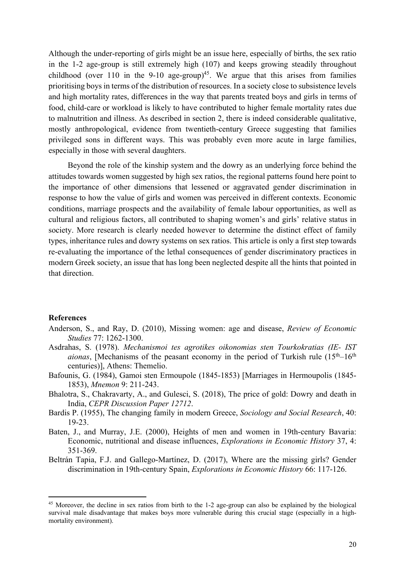Although the under-reporting of girls might be an issue here, especially of births, the sex ratio in the 1-2 age-group is still extremely high (107) and keeps growing steadily throughout childhood (over 110 in the 9-10 age-group)<sup>45</sup>. We argue that this arises from families prioritising boys in terms of the distribution of resources. In a society close to subsistence levels and high mortality rates, differences in the way that parents treated boys and girls in terms of food, child-care or workload is likely to have contributed to higher female mortality rates due to malnutrition and illness. As described in section 2, there is indeed considerable qualitative, mostly anthropological, evidence from twentieth-century Greece suggesting that families privileged sons in different ways. This was probably even more acute in large families, especially in those with several daughters.

Beyond the role of the kinship system and the dowry as an underlying force behind the attitudes towards women suggested by high sex ratios, the regional patterns found here point to the importance of other dimensions that lessened or aggravated gender discrimination in response to how the value of girls and women was perceived in different contexts. Economic conditions, marriage prospects and the availability of female labour opportunities, as well as cultural and religious factors, all contributed to shaping women's and girls' relative status in society. More research is clearly needed however to determine the distinct effect of family types, inheritance rules and dowry systems on sex ratios. This article is only a first step towards re-evaluating the importance of the lethal consequences of gender discriminatory practices in modern Greek society, an issue that has long been neglected despite all the hints that pointed in that direction.

#### **References**

- Anderson, S., and Ray, D. (2010), Missing women: age and disease, *Review of Economic Studies* 77: 1262-1300.
- Asdrahas, S. (1978). *Mechanismoi tes agrotikes oikonomias sten Tourkokratias (IE- IST aionas*, [Mechanisms of the peasant economy in the period of Turkish rule  $(15<sup>th</sup>-16<sup>th</sup>)$ centuries)], Athens: Themelio.
- Bafounis, G. (1984), Gamoi sten Ermoupole (1845-1853) [Marriages in Hermoupolis (1845- 1853), *Mnemon* 9: 211-243.
- Bhalotra, S., Chakravarty, A., and Gulesci, S. (2018), The price of gold: Dowry and death in India, *CEPR Discussion Paper 12712*.
- Bardis P. (1955), The changing family in modern Greece, *Sociology and Social Research*, 40: 19-23.
- Baten, J., and Murray, J.E. (2000), Heights of men and women in 19th-century Bavaria: Economic, nutritional and disease influences, *Explorations in Economic History* 37, 4: 351-369.
- Beltrán Tapia, F.J. and Gallego-Martínez, D. (2017), Where are the missing girls? Gender discrimination in 19th-century Spain, *Explorations in Economic History* 66: 117-126.

<sup>&</sup>lt;sup>45</sup> Moreover, the decline in sex ratios from birth to the 1-2 age-group can also be explained by the biological survival male disadvantage that makes boys more vulnerable during this crucial stage (especially in a highmortality environment).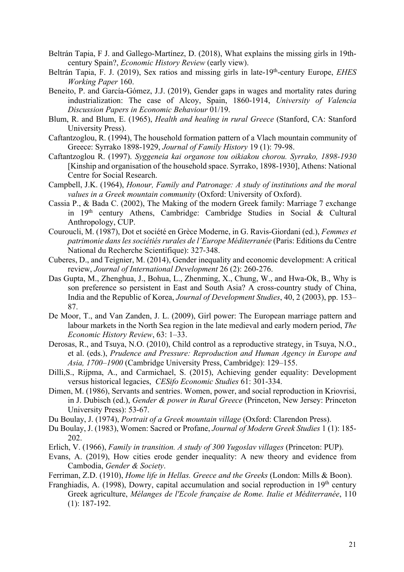- Beltrán Tapia, F J. and Gallego-Martínez, D. (2018), What explains the missing girls in 19thcentury Spain?, *Economic History Review* (early view).
- Beltrán Tapia, F. J. (2019), Sex ratios and missing girls in late-19th-century Europe, *EHES Working Paper* 160.
- Beneito, P. and García-Gómez, J.J. (2019), Gender gaps in wages and mortality rates during industrialization: The case of Alcoy, Spain, 1860-1914, *University of Valencia Discussion Papers in Economic Behaviour* 01/19.
- Blum, R. and Blum, E. (1965), *Health and healing in rural Greece* (Stanford, CA: Stanford University Press).
- Caftantzoglou, R. (1994), The household formation pattern of a Vlach mountain community of Greece: Syrrako 1898-1929, *Journal of Family History* 19 (1): 79-98.
- Caftantzoglou R. (1997). *Syggeneia kai organose tou oikiakou chorou. Syrrako, 1898-1930* [Kinship and organisation of the household space. Syrrako, 1898-1930], Athens: National Centre for Social Research.
- Campbell, J.K. (1964), *Honour, Family and Patronage: A study of institutions and the moral values in a Greek mountain community* (Oxford: University of Oxford).
- Cassia P., & Bada C. (2002), The Making of the modern Greek family: Marriage 7 exchange in 19th century Athens, Cambridge: Cambridge Studies in Social & Cultural Anthropology, CUP.
- Couroucli, M. (1987), Dot et société en Grèce Moderne, in G. Ravis-Giordani (ed.), *Femmes et patrimonie dans les sociétiés rurales de l'Europe Méditerranée* (Paris: Editions du Centre National du Recherche Scientifique): 327-348.
- Cuberes, D., and Teignier, M. (2014), Gender inequality and economic development: A critical review, *Journal of International Development* 26 (2): 260-276.
- Das Gupta, M., Zhenghua, J., Bohua, L., Zhenming, X., Chung, W., and Hwa-Ok, B., Why is son preference so persistent in East and South Asia? A cross-country study of China, India and the Republic of Korea, *Journal of Development Studies*, 40, 2 (2003), pp. 153– 87.
- De Moor, T., and Van Zanden, J. L. (2009), Girl power: The European marriage pattern and labour markets in the North Sea region in the late medieval and early modern period, *The Economic History Review*, 63: 1–33.
- Derosas, R., and Tsuya, N.O. (2010), Child control as a reproductive strategy, in Tsuya, N.O., et al. (eds.), *Prudence and Pressure: Reproduction and Human Agency in Europe and Asia, 1700–1900* (Cambridge University Press, Cambridge): 129–155.
- Dilli,S., Rijpma, A., and Carmichael, S. (2015), Achieving gender equality: Development versus historical legacies, *CESifo Economic Studies* 61: 301-334.
- Dimen, M. (1986), Servants and sentries. Women, power, and social reproduction in Kriovrisi, in J. Dubisch (ed.), *Gender & power in Rural Greece* (Princeton, New Jersey: Princeton University Press): 53-67.
- Du Boulay, J. (1974), *Portrait of a Greek mountain village* (Oxford: Clarendon Press).
- Du Boulay, J. (1983), Women: Sacred or Profane, *Journal of Modern Greek Studies* 1 (1): 185- 202.
- Erlich, V. (1966), *Family in transition. A study of 300 Yugoslav villages* (Princeton: PUP).
- Evans, A. (2019), How cities erode gender inequality: A new theory and evidence from Cambodia, *Gender & Society*.
- Ferriman, Z.D. (1910), *Home life in Hellas. Greece and the Greeks* (London: Mills & Boon).
- Franghiadis, A. (1998), Dowry, capital accumulation and social reproduction in  $19<sup>th</sup>$  century Greek agriculture, *Mélanges de l'Ecole française de Rome. Italie et Méditerranée*, 110 (1): 187-192.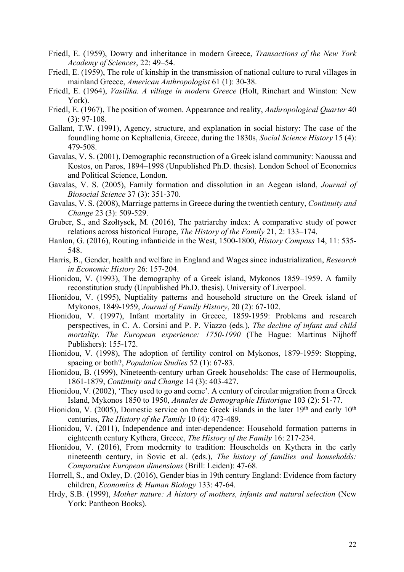- Friedl, E. (1959), Dowry and inheritance in modern Greece, *Transactions of the New York Academy of Sciences*, 22: 49–54.
- Friedl, E. (1959), The role of kinship in the transmission of national culture to rural villages in mainland Greece, *American Anthropologist* 61 (1): 30-38.
- Friedl, E. (1964), *Vasilika. A village in modern Greece* (Holt, Rinehart and Winston: New York).
- Friedl, E. (1967), The position of women. Appearance and reality, *Anthropological Quarter* 40 (3): 97-108.
- Gallant, T.W. (1991), Agency, structure, and explanation in social history: The case of the foundling home on Kephallenia, Greece, during the 1830s, *Social Science History* 15 (4): 479-508.
- Gavalas, V. S. (2001), Demographic reconstruction of a Greek island community: Naoussa and Kostos, on Paros, 1894–1998 (Unpublished Ph.D. thesis). London School of Economics and Political Science, London.
- Gavalas, V. S. (2005), Family formation and dissolution in an Aegean island, *Journal of Biosocial Science* 37 (3): 351-370.
- Gavalas, V. S. (2008), Marriage patterns in Greece during the twentieth century, *Continuity and Change* 23 (3): 509-529.
- Gruber, S., and Szołtysek, M. (2016), The patriarchy index: A comparative study of power relations across historical Europe, *The History of the Family* 21, 2: 133–174.
- Hanlon, G. (2016), Routing infanticide in the West, 1500-1800, *History Compass* 14, 11: 535- 548.
- Harris, B., Gender, health and welfare in England and Wages since industrialization, *Research in Economic History* 26: 157-204.
- Hionidou, V. (1993), The demography of a Greek island, Mykonos 1859–1959. A family reconstitution study (Unpublished Ph.D. thesis). University of Liverpool.
- Hionidou, V. (1995), Nuptiality patterns and household structure on the Greek island of Mykonos, 1849-1959, *Journal of Family History*, 20 (2): 67-102.
- Hionidou, V. (1997), Infant mortality in Greece, 1859-1959: Problems and research perspectives, in C. A. Corsini and P. P. Viazzo (eds.), *The decline of infant and child mortality. The European experience: 1750-1990* (The Hague: Martinus Nijhoff Publishers): 155-172.
- Hionidou, V. (1998), The adoption of fertility control on Mykonos, 1879-1959: Stopping, spacing or both?, *Population Studies* 52 (1): 67-83.
- Hionidou, B. (1999), Nineteenth-century urban Greek households: The case of Hermoupolis, 1861-1879, *Continuity and Change* 14 (3): 403-427.
- Hionidou, V. (2002), 'They used to go and come'. A century of circular migration from a Greek Island, Mykonos 1850 to 1950, *Annales de Demographie Historique* 103 (2): 51-77.
- Hionidou, V. (2005), Domestic service on three Greek islands in the later  $19<sup>th</sup>$  and early  $10<sup>th</sup>$ centuries, *The History of the Family* 10 (4): 473-489.
- Hionidou, V. (2011), Independence and inter-dependence: Household formation patterns in eighteenth century Kythera, Greece, *The History of the Family* 16: 217-234.
- Hionidou, V. (2016), From modernity to tradition: Households on Kythera in the early nineteenth century, in Sovic et al. (eds.), *The history of families and households: Comparative European dimensions* (Brill: Leiden): 47-68.
- Horrell, S., and Oxley, D. (2016), Gender bias in 19th century England: Evidence from factory children, *Economics & Human Biology* 133: 47-64.
- Hrdy, S.B. (1999), *Mother nature: A history of mothers, infants and natural selection* (New York: Pantheon Books).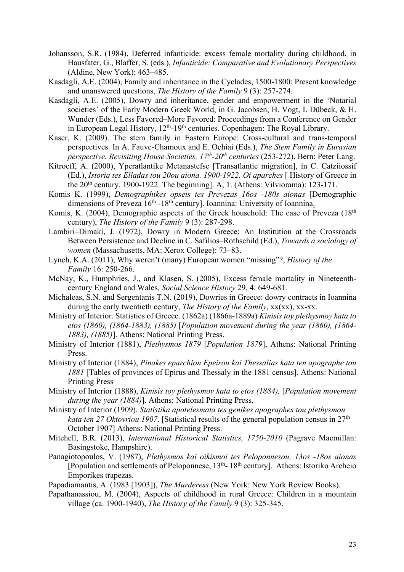- Johansson, S.R. (1984), Deferred infanticide: excess female mortality during childhood, in Hausfater, G., Blaffer, S. (eds.), *Infanticide: Comparative and Evolutionary Perspectives*  (Aldine, New York): 463–485.
- Kasdagli, A.E. (2004), Family and inheritance in the Cyclades, 1500-1800: Present knowledge and unanswered questions, *The History of the Family* 9 (3): 257-274.
- Kasdagli, A.E. (2005), Dowry and inheritance, gender and empowerment in the 'Notarial societies' of the Early Modern Greek World, in G. Jacobsen, H. Vogt, I. Dübeck, & H. Wunder (Eds.), Less Favored–More Favored: Proceedings from a Conference on Gender in European Legal History,  $12<sup>th</sup>$ -19<sup>th</sup> centuries. Copenhagen: The Royal Library.
- Kaser, K. (2009). The stem family in Eastern Europe: Cross-cultural and trans-temporal perspectives. In A. Fauve-Chamoux and E. Ochiai (Eds.), *The Stem Family in Eurasian perspective. Revisiting House Societies, 17<sup>th</sup>-20<sup>th</sup> centuries (253-272). Bern: Peter Lang.*
- Kitroeff, A. (2000), Yperatlantike Metanastefse [Transatlantic migration], in C. Catziiossif (Ed.), *Istoria tes Elladas tou 20ou aiona. 1900-1922. Oi aparches* [ History of Greece in the  $20<sup>th</sup>$  century. 1900-1922. The beginning]. A, 1. (Athens: Vilviorama): 123-171.
- Komis K. (1999), *Demographikes opseis tes Prevezas 16os -180s aionas* [Demographic dimensions of Preveza  $16<sup>th</sup> - 18<sup>th</sup>$  century]. Ioannina: University of Ioannina.
- Komis, K. (2004), Demographic aspects of the Greek household: The case of Preveza (18<sup>th</sup>) century), *The History of the Family* 9 (3): 287-298.
- Lambiri–Dimaki, J. (1972), Dowry in Modern Greece: An Institution at the Crossroads Between Persistence and Decline in C. Safilios–Rothschild (Ed.), *Towards a sociology of women* (Massachusetts, MA: Xerox College): 73–83.
- Lynch, K.A. (2011), Why weren't (many) European women "missing"?, *History of the Family* 16: 250-266.
- McNay, K., Humphries, J., and Klasen, S. (2005), Excess female mortality in Nineteenthcentury England and Wales, *Social Science History* 29, 4: 649-681.
- Michaleas, S.N. and Sergentanis T.N. (2019), Dowries in Greece: dowry contracts in Ioannina during the early twentieth century, *The History of the Family*,  $xx(xx)$ ,  $xx-xx$ .
- Ministry of Interior. Statistics of Greece. (1862a) (1866a-1889a) *Kinisis toy plethysmoy kata to etos (1860), (1864-1883), (1885)* [*Population movement during the year (1860), (1864- 1883), (1885)*]. Athens: National Printing Press.
- Ministry of Interior (1881), *Plethysmos 1879* [*Population 1879*], Athens: National Printing Press.
- Ministry of Interior (1884), *Pinakes eparchion Epeirou kai Thessalias kata ten apographe tou 1881* [Tables of provinces of Epirus and Thessaly in the 1881 census]. Athens: National Printing Press
- Ministry of Interior (1888), *Kinisis toy plethysmoy kata to etos (1884),* [*Population movement during the year (1884)*]. Athens: National Printing Press.
- Ministry of Interior (1909). *Statistika apotelesmata tes genikes apographes tou plethysmou kata ten 27 Oktovriou 1907*. [Statistical results of the general population census in 27<sup>th</sup> October 1907] Athens: National Printing Press.
- Mitchell, B.R. (2013), *International Historical Statistics, 1750-2010* (Pagrave Macmillan: Basingstoke, Hampshire).
- Panagiotopoulos, V. (1987), *Plethysmos kai oikismoi tes Peloponnesou, 13os -18os aionas* [Population and settlements of Peloponnese,  $13<sup>th</sup>$ - 18<sup>th</sup> century]. Athens: Istoriko Archeio Emporikes trapezas.
- Papadiamantis, A. (1983 [1903]), *The Murderess* (New York: New York Review Books).
- Papathanassiou, M. (2004), Aspects of childhood in rural Greece: Children in a mountain village (ca. 1900-1940), *The History of the Family* 9 (3): 325-345.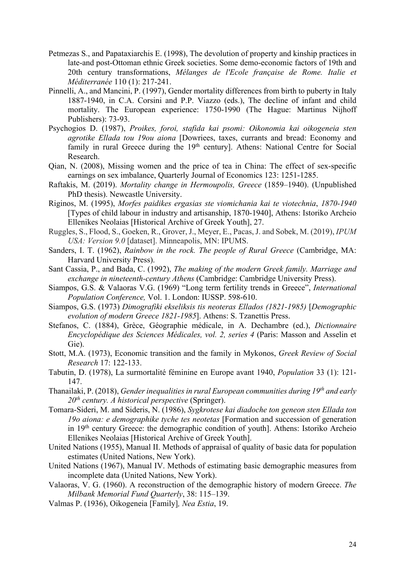- Petmezas S., and Papataxiarchis E. (1998), The devolution of property and kinship practices in late-and post-Ottoman ethnic Greek societies. Some demo-economic factors of 19th and 20th century transformations, *Mélanges de l'Ecole française de Rome. Italie et Méditerranée* 110 (1): 217-241.
- Pinnelli, A., and Mancini, P. (1997), Gender mortality differences from birth to puberty in Italy 1887-1940, in C.A. Corsini and P.P. Viazzo (eds.), The decline of infant and child mortality. The European experience: 1750-1990 (The Hague: Martinus Nijhoff Publishers): 73-93.
- Psychogios D. (1987), *Proikes, foroi, stafida kai psomi: Oikonomia kai oikogeneia sten agrotike Ellada tou 19ou aiona* [Dowriees, taxes, currants and bread: Economy and family in rural Greece during the 19<sup>th</sup> century]. Athens: National Centre for Social Research.
- Qian, N. (2008), Missing women and the price of tea in China: The effect of sex-specific earnings on sex imbalance, Quarterly Journal of Economics 123: 1251-1285.
- Raftakis, M. (2019). *Mortality change in Hermoupolis, Greece* (1859–1940). (Unpublished PhD thesis). Newcastle University.
- Riginos, M. (1995), *Morfes paidikes ergasias ste viomichania kai te viotechnia*, *1870-1940* [Types of child labour in industry and artisanship, 1870-1940], Athens: Istoriko Archeio Ellenikes Neolaias [Historical Archive of Greek Youth], 27.
- Ruggles, S., Flood, S., Goeken, R., Grover, J., Meyer, E., Pacas, J. and Sobek, M. (2019), *IPUM USA: Version 9.0* [dataset]. Minneapolis, MN: IPUMS.
- Sanders, I. T. (1962), *Rainbow in the rock. The people of Rural Greece* (Cambridge, MA: Harvard University Press).
- Sant Cassia, P., and Bada, C. (1992), *The making of the modern Greek family. Marriage and exchange in nineteenth-century Athens* (Cambridge: Cambridge University Press).
- Siampos, G.S. & Valaoras V.G. (1969) "Long term fertility trends in Greece", *International Population Conference,* Vol. 1. London: IUSSP. 598-610.
- Siampos, G.S. (1973) *Dimografiki ekseliksis tis neoteras Ellados (1821-1985)* [*Demographic evolution of modern Greece 1821-1985*]. Athens: S. Tzanettis Press.
- Stefanos, C. (1884), Grèce, Géographie médicale, in A. Dechambre (ed.), *Dictionnaire Encyclopédique des Sciences Médicales, vol. 2, series 4* (Paris: Masson and Asselin et Gie).
- Stott, M.A. (1973), Economic transition and the family in Mykonos, *Greek Review of Social Research* 17: 122-133.
- Tabutin, D. (1978), La surmortalité féminine en Europe avant 1940, *Population* 33 (1): 121- 147.
- Thanailaki, P. (2018), *Gender inequalities in rural European communities during 19th and early 20th century. A historical perspective* (Springer).
- Tomara-Sideri, M. and Sideris, N. (1986), *Sygkrotese kai diadoche ton geneon sten Ellada ton 19o aiona: e demographike tyche tes neotetas* [Formation and succession of generation in 19th century Greece: the demographic condition of youth]. Athens: Istoriko Archeio Ellenikes Neolaias [Historical Archive of Greek Youth].
- United Nations (1955), Manual II. Methods of appraisal of quality of basic data for population estimates (United Nations, New York).
- United Nations (1967), Manual IV. Methods of estimating basic demographic measures from incomplete data (United Nations, New York).
- Valaoras, V. G. (1960). A reconstruction of the demographic history of modern Greece. *The Milbank Memorial Fund Quarterly*, 38: 115–139.
- Valmas P. (1936), Oikogeneia [Family]*, Nea Estia*, 19.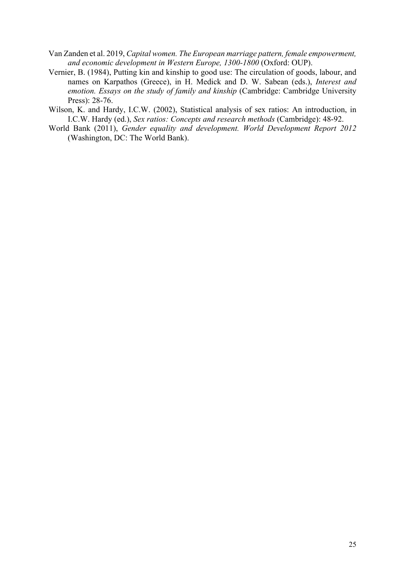- Van Zanden et al. 2019, *Capital women. The European marriage pattern, female empowerment, and economic development in Western Europe, 1300-1800* (Oxford: OUP).
- Vernier, B. (1984), Putting kin and kinship to good use: The circulation of goods, labour, and names on Karpathos (Greece), in H. Medick and D. W. Sabean (eds.), *Interest and emotion. Essays on the study of family and kinship* (Cambridge: Cambridge University Press): 28-76.
- Wilson, K. and Hardy, I.C.W. (2002), Statistical analysis of sex ratios: An introduction, in I.C.W. Hardy (ed.), *Sex ratios: Concepts and research methods* (Cambridge): 48-92.
- World Bank (2011), *Gender equality and development. World Development Report 2012* (Washington, DC: The World Bank).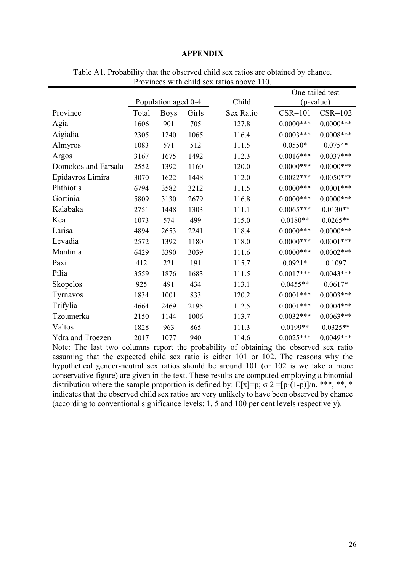### **APPENDIX**

|                         |                     |             |       |           |              | One-tailed test |
|-------------------------|---------------------|-------------|-------|-----------|--------------|-----------------|
|                         | Population aged 0-4 |             | Child | (p-value) |              |                 |
| Province                | Total               | <b>Boys</b> | Girls | Sex Ratio | $CSR=101$    | $CSR=102$       |
| Agia                    | 1606                | 901         | 705   | 127.8     | $0.0000$ *** | $0.0000$ ***    |
| Aigialia                | 2305                | 1240        | 1065  | 116.4     | $0.0003***$  | $0.0008***$     |
| Almyros                 | 1083                | 571         | 512   | 111.5     | $0.0550*$    | $0.0754*$       |
| Argos                   | 3167                | 1675        | 1492  | 112.3     | $0.0016***$  | $0.0037***$     |
| Domokos and Farsala     | 2552                | 1392        | 1160  | 120.0     | $0.0000$ *** | $0.0000***$     |
| Epidavros Limira        | 3070                | 1622        | 1448  | 112.0     | $0.0022***$  | $0.0050***$     |
| Phthiotis               | 6794                | 3582        | 3212  | 111.5     | $0.0000***$  | $0.0001***$     |
| Gortinia                | 5809                | 3130        | 2679  | 116.8     | $0.0000***$  | $0.0000***$     |
| Kalabaka                | 2751                | 1448        | 1303  | 111.1     | $0.0065***$  | $0.0130**$      |
| Kea                     | 1073                | 574         | 499   | 115.0     | $0.0180**$   | $0.0265**$      |
| Larisa                  | 4894                | 2653        | 2241  | 118.4     | $0.0000$ *** | $0.0000***$     |
| Levadia                 | 2572                | 1392        | 1180  | 118.0     | $0.0000$ *** | $0.0001***$     |
| Mantinia                | 6429                | 3390        | 3039  | 111.6     | $0.0000$ *** | $0.0002***$     |
| Paxi                    | 412                 | 221         | 191   | 115.7     | $0.0921*$    | 0.1097          |
| Pilia                   | 3559                | 1876        | 1683  | 111.5     | $0.0017***$  | $0.0043***$     |
| Skopelos                | 925                 | 491         | 434   | 113.1     | $0.0455**$   | $0.0617*$       |
| Tyrnavos                | 1834                | 1001        | 833   | 120.2     | $0.0001***$  | $0.0003***$     |
| Trifylia                | 4664                | 2469        | 2195  | 112.5     | $0.0001***$  | $0.0004***$     |
| Tzoumerka               | 2150                | 1144        | 1006  | 113.7     | $0.0032***$  | $0.0063***$     |
| Valtos                  | 1828                | 963         | 865   | 111.3     | $0.0199**$   | $0.0325**$      |
| <b>Ydra and Troezen</b> | 2017                | 1077        | 940   | 114.6     | $0.0025***$  | $0.0049***$     |

Table A1. Probability that the observed child sex ratios are obtained by chance. Provinces with child sex ratios above 110.

Note: The last two columns report the probability of obtaining the observed sex ratio assuming that the expected child sex ratio is either 101 or 102. The reasons why the hypothetical gender-neutral sex ratios should be around 101 (or 102 is we take a more conservative figure) are given in the text. These results are computed employing a binomial distribution where the sample proportion is defined by:  $E[x]=p$ ;  $\sigma 2 = [p(1-p)]/n$ . \*\*\*, \*\*, indicates that the observed child sex ratios are very unlikely to have been observed by chance (according to conventional significance levels: 1, 5 and 100 per cent levels respectively).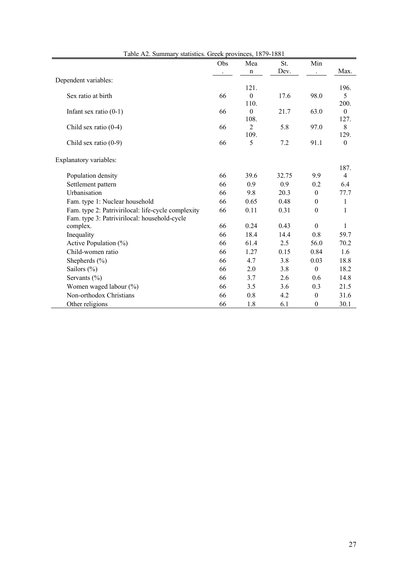| Table $Az$ . Building y statistics. Greek provinces, 10/7-1001 | Obs | Mea            | St.   | Min              |                  |
|----------------------------------------------------------------|-----|----------------|-------|------------------|------------------|
|                                                                |     | $\mathbf n$    | Dev.  |                  | Max.             |
| Dependent variables:                                           |     |                |       |                  |                  |
|                                                                |     | 121.           |       |                  | 196.             |
| Sex ratio at birth                                             | 66  | $\theta$       | 17.6  | 98.0             | 5                |
|                                                                |     | 110.           |       |                  | 200.             |
| Infant sex ratio $(0-1)$                                       | 66  | $\theta$       | 21.7  | 63.0             | $\theta$         |
|                                                                |     | 108.           |       |                  | 127.             |
| Child sex ratio $(0-4)$                                        | 66  | $\overline{2}$ | 5.8   | 97.0             | 8                |
|                                                                | 66  | 109.           | 7.2   | 91.1             | 129.             |
| Child sex ratio (0-9)                                          |     | 5              |       |                  | $\boldsymbol{0}$ |
|                                                                |     |                |       |                  |                  |
| Explanatory variables:                                         |     |                |       |                  | 187.             |
| Population density                                             | 66  | 39.6           | 32.75 | 9.9              | $\overline{4}$   |
| Settlement pattern                                             | 66  | 0.9            | 0.9   | 0.2              | 6.4              |
| Urbanisation                                                   | 66  | 9.8            | 20.3  | $\theta$         | 77.7             |
| Fam. type 1: Nuclear household                                 | 66  | 0.65           | 0.48  | $\theta$         | 1                |
| Fam. type 2: Patrivirilocal: life-cycle complexity             | 66  | 0.11           | 0.31  | $\boldsymbol{0}$ | 1                |
| Fam. type 3: Patrivirilocal: household-cycle                   |     |                |       |                  |                  |
| complex.                                                       | 66  | 0.24           | 0.43  | $\theta$         | 1                |
| Inequality                                                     | 66  | 18.4           | 14.4  | 0.8              | 59.7             |
| Active Population (%)                                          | 66  | 61.4           | 2.5   | 56.0             | 70.2             |
| Child-women ratio                                              | 66  | 1.27           | 0.15  | 0.84             | 1.6              |
| Shepherds $(\% )$                                              | 66  | 4.7            | 3.8   | 0.03             | 18.8             |
| Sailors (%)                                                    | 66  | 2.0            | 3.8   | $\theta$         | 18.2             |
| Servants $(\% )$                                               | 66  | 3.7            | 2.6   | 0.6              | 14.8             |
| Women waged labour (%)                                         | 66  | 3.5            | 3.6   | 0.3              | 21.5             |
| Non-orthodox Christians                                        | 66  | 0.8            | 4.2   | $\theta$         | 31.6             |
| Other religions                                                | 66  | 1.8            | 6.1   | $\mathbf{0}$     | 30.1             |

| Table A2. Summary statistics. Greek provinces, 1879-1881 |  |  |  |  |  |  |  |  |  |
|----------------------------------------------------------|--|--|--|--|--|--|--|--|--|
|----------------------------------------------------------|--|--|--|--|--|--|--|--|--|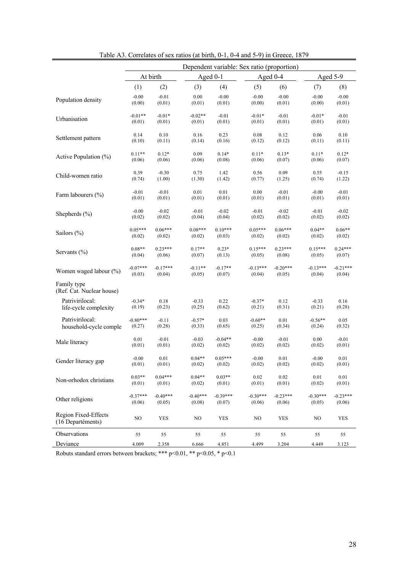|                                           | Dependent variable: Sex ratio (proportion) |            |             |            |            |            |            |            |
|-------------------------------------------|--------------------------------------------|------------|-------------|------------|------------|------------|------------|------------|
|                                           |                                            | At birth   | Aged $0-1$  |            |            | Aged $0-4$ |            | Aged 5-9   |
|                                           | (1)                                        | (2)        | (3)         | (4)        | (5)        | (6)        | (7)        | (8)        |
| Population density                        | $-0.00$                                    | $-0.01$    | 0.00        | $-0.00$    | $-0.00$    | $-0.00$    | $-0.00$    | $-0.00$    |
|                                           | (0.00)                                     | (0.01)     | (0.01)      | (0.01)     | (0.00)     | (0.01)     | (0.00)     | (0.01)     |
| Urbanisation                              | $-0.01**$                                  | $-0.01*$   | $-0.02**$   | $-0.01$    | $-0.01*$   | $-0.01$    | $-0.01*$   | $-0.01$    |
|                                           | (0.01)                                     | (0.01)     | (0.01)      | (0.01)     | (0.01)     | (0.01)     | (0.01)     | (0.01)     |
| Settlement pattern                        | 0.14                                       | 0.10       | 0.16        | 0.23       | 0.08       | 0.12       | 0.06       | 0.10       |
|                                           | (0.10)                                     | (0.11)     | (0.14)      | (0.16)     | (0.12)     | (0.12)     | (0.11)     | (0.11)     |
| Active Population (%)                     | $0.11**$                                   | $0.12*$    | 0.09        | $0.14*$    | $0.11*$    | $0.13*$    | $0.11*$    | $0.12*$    |
|                                           | (0.06)                                     | (0.06)     | (0.06)      | (0.08)     | (0.06)     | (0.07)     | (0.06)     | (0.07)     |
| Child-women ratio                         | 0.39                                       | $-0.30$    | 0.75        | 1.42       | 0.56       | 0.09       | 0.55       | $-0.15$    |
|                                           | (0.74)                                     | (1.00)     | (1.30)      | (1.42)     | (0.77)     | (1.25)     | (0.74)     | (1.22)     |
| Farm labourers (%)                        | $-0.01$                                    | $-0.01$    | 0.01        | 0.01       | 0.00       | $-0.01$    | $-0.00$    | $-0.01$    |
|                                           | (0.01)                                     | (0.01)     | (0.01)      | (0.01)     | (0.01)     | (0.01)     | (0.01)     | (0.01)     |
| Shepherds (%)                             | $-0.00$                                    | $-0.02$    | $-0.01$     | $-0.02$    | $-0.01$    | $-0.02$    | $-0.01$    | $-0.02$    |
|                                           | (0.02)                                     | (0.02)     | (0.04)      | (0.04)     | (0.02)     | (0.02)     | (0.02)     | (0.02)     |
| Sailors (%)                               | $0.05***$                                  | $0.06***$  | $0.08***$   | $0.10***$  | $0.05***$  | $0.06***$  | $0.04**$   | $0.06**$   |
|                                           | (0.02)                                     | (0.02)     | (0.02)      | (0.03)     | (0.02)     | (0.02)     | (0.02)     | (0.02)     |
| Servants (%)                              | $0.08**$                                   | $0.23***$  | $0.17**$    | $0.23*$    | $0.15***$  | $0.23***$  | $0.15***$  | $0.24***$  |
|                                           | (0.04)                                     | (0.06)     | (0.07)      | (0.13)     | (0.05)     | (0.08)     | (0.05)     | (0.07)     |
| Women waged labour (%)                    | $-0.07***$                                 | $-0.17***$ | $-0.11**$   | $-0.17**$  | $-0.13***$ | $-0.20***$ | $-0.13***$ | $-0.21***$ |
|                                           | (0.03)                                     | (0.04)     | (0.05)      | (0.07)     | (0.04)     | (0.05)     | (0.04)     | (0.04)     |
| Family type<br>(Ref. Cat. Nuclear house)  |                                            |            |             |            |            |            |            |            |
| Patrivirilocal:                           | $-0.34*$                                   | 0.18       | $-0.33$     | 0.22       | $-0.37*$   | 0.12       | $-0.33$    | 0.16       |
| life-cycle complexity                     | (0.19)                                     | (0.23)     | (0.25)      | (0.62)     | (0.21)     | (0.31)     | (0.21)     | (0.28)     |
| Patrivirilocal:                           | $-0.80***$                                 | $-0.11$    | $-0.57*$    | 0.03       | $-0.60**$  | 0.01       | $-0.56**$  | 0.05       |
| household-cycle comple                    | (0.27)                                     | (0.28)     | (0.33)      | (0.65)     | (0.25)     | (0.34)     | (0.24)     | (0.32)     |
| Male literacy                             | 0.01                                       | $-0.01$    | $-0.03$     | $-0.04**$  | $-0.00$    | $-0.01$    | 0.00       | $-0.01$    |
|                                           | (0.01)                                     | (0.01)     | (0.02)      | (0.02)     | (0.02)     | (0.02)     | (0.02)     | (0.01)     |
| Gender literacy gap                       | $-0.00$                                    | 0.01       | $0.04**$    | $0.05***$  | $-0.00$    | 0.01       | $-0.00$    | 0.01       |
|                                           | (0.01)                                     | (0.01)     | (0.02)      | (0.02)     | (0.02)     | (0.02)     | (0.02)     | (0.01)     |
| Non-orhodox christians                    | $0.03**$                                   | $0.04***$  | $0.04**$    | $0.03**$   | 0.02       | 0.02       | 0.01       | 0.01       |
|                                           | (0.01)                                     | (0.01)     | (0.02)      | (0.01)     | (0.01)     | (0.01)     | (0.02)     | (0.01)     |
| Other religions                           | $-0.37***$                                 | $-0.40***$ | $-0.40***$  | $-0.39***$ | $-0.30***$ | $-0.23***$ | $-0.30***$ | $-0.23***$ |
|                                           | (0.06)                                     | (0.05)     | (0.08)      | (0.07)     | (0.06)     | (0.06)     | (0.05)     | (0.06)     |
| Region Fixed-Effects<br>(16 Departéments) | $_{\rm NO}$                                | <b>YES</b> | $_{\rm NO}$ | YES        | NO.        | <b>YES</b> | NO         | <b>YES</b> |
| Observations                              | 55                                         | 55         | 55          | 55         | 55         | 55         | 55         | 55         |
| Deviance                                  | 4.009                                      | 2.358      | 6.666       | 4.851      | 4.499      | 3.204      | 4.449      | 3.123      |

Table A3. Correlates of sex ratios (at birth, 0-1, 0-4 and 5-9) in Greece, 1879

Robuts standard errors between brackets; \*\*\*  $p<0.01$ , \*\*  $p<0.05$ , \*  $p<0.1$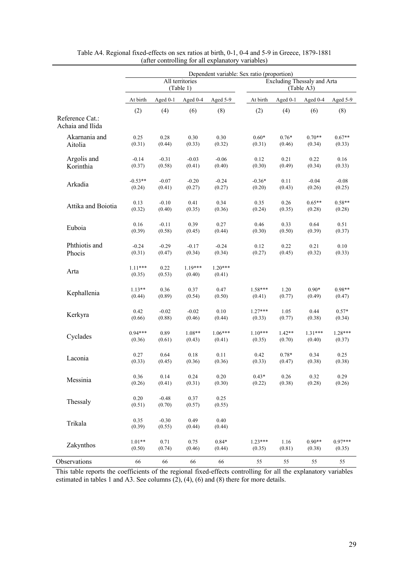|                                     |                     |                   |                              | Dependent variable: Sex ratio (proportion) |           |          |                                           |           |
|-------------------------------------|---------------------|-------------------|------------------------------|--------------------------------------------|-----------|----------|-------------------------------------------|-----------|
|                                     |                     |                   | All territories<br>(Table 1) |                                            |           |          | Excluding Thessaly and Arta<br>(Table A3) |           |
|                                     | At birth            | Aged $0-1$        | Aged 0-4                     | Aged 5-9                                   | At birth  | Aged 0-1 | Aged 0-4                                  | Aged 5-9  |
| Reference Cat.:<br>Achaia and Ilida | (2)                 | (4)               | (6)                          | (8)                                        | (2)       | (4)      | (6)                                       | (8)       |
| Akarnania and                       | 0.25                | 0.28              | 0.30                         | 0.30                                       | $0.60*$   | $0.76*$  | $0.70**$                                  | $0.67**$  |
| Aitolia                             | (0.31)              | (0.44)            | (0.33)                       | (0.32)                                     | (0.31)    | (0.46)   | (0.34)                                    | (0.33)    |
| Argolis and                         | $-0.14$             | $-0.31$           | $-0.03$                      | $-0.06$                                    | 0.12      | 0.21     | 0.22                                      | 0.16      |
| Korinthia                           | (0.37)              | (0.58)            | (0.41)                       | (0.40)                                     | (0.30)    | (0.49)   | (0.34)                                    | (0.33)    |
| Arkadia                             | $-0.53**$           | $-0.07$           | $-0.20$                      | $-0.24$                                    | $-0.36*$  | 0.11     | $-0.04$                                   | $-0.08$   |
|                                     | (0.24)              | (0.41)            | (0.27)                       | (0.27)                                     | (0.20)    | (0.43)   | (0.26)                                    | (0.25)    |
| Attika and Boiotia                  | 0.13                | $-0.10$           | 0.41                         | 0.34                                       | 0.35      | 0.26     | $0.65**$                                  | $0.58**$  |
|                                     | (0.32)              | (0.40)            | (0.35)                       | (0.36)                                     | (0.24)    | (0.35)   | (0.28)                                    | (0.28)    |
| Euboia                              | 0.16                | $-0.11$           | 0.39                         | 0.27                                       | 0.46      | 0.33     | 0.64                                      | 0.51      |
|                                     | (0.39)              | (0.58)            | (0.45)                       | (0.44)                                     | (0.30)    | (0.50)   | (0.39)                                    | (0.37)    |
| Phthiotis and                       | $-0.24$             | $-0.29$           | $-0.17$                      | $-0.24$                                    | 0.12      | 0.22     | 0.21                                      | 0.10      |
| Phocis                              | (0.31)              | (0.47)            | (0.34)                       | (0.34)                                     | (0.27)    | (0.45)   | (0.32)                                    | (0.33)    |
| Arta                                | $1.11***$<br>(0.35) | 0.22<br>(0.53)    | $1.19***$<br>(0.40)          | $1.20***$<br>(0.41)                        |           |          |                                           |           |
| Kephallenia                         | $1.13**$            | 0.36              | 0.37                         | 0.47                                       | $1.58***$ | 1.20     | $0.90*$                                   | $0.98**$  |
|                                     | (0.44)              | (0.89)            | (0.54)                       | (0.50)                                     | (0.41)    | (0.77)   | (0.49)                                    | (0.47)    |
| Kerkyra                             | 0.42                | $-0.02$           | $-0.02$                      | 0.10                                       | $1.27***$ | 1.05     | 0.44                                      | $0.57*$   |
|                                     | (0.66)              | (0.88)            | (0.46)                       | (0.44)                                     | (0.33)    | (0.77)   | (0.38)                                    | (0.34)    |
| Cyclades                            | $0.94***$           | 0.89              | $1.08**$                     | $1.06***$                                  | $1.10***$ | $1.42**$ | $1.31***$                                 | $1.28***$ |
|                                     | (0.36)              | (0.61)            | (0.43)                       | (0.41)                                     | (0.35)    | (0.70)   | (0.40)                                    | (0.37)    |
| Laconia                             | 0.27                | 0.64              | 0.18                         | 0.11                                       | 0.42      | $0.78*$  | 0.34                                      | 0.25      |
|                                     | (0.33)              | (0.45)            | (0.36)                       | (0.36)                                     | (0.33)    | (0.47)   | (0.38)                                    | (0.38)    |
| Messinia                            | 0.36                | 0.14              | 0.24                         | 0.20                                       | $0.43*$   | 0.26     | 0.32                                      | 0.29      |
|                                     | (0.26)              | (0.41)            | (0.31)                       | (0.30)                                     | (0.22)    | (0.38)   | (0.28)                                    | (0.26)    |
| Thessaly                            | 0.20<br>(0.51)      | $-0.48$<br>(0.70) | 0.37<br>(0.57)               | 0.25<br>(0.55)                             |           |          |                                           |           |
| Trikala                             | 0.35<br>(0.39)      | $-0.30$<br>(0.55) | 0.49<br>(0.44)               | 0.40<br>(0.44)                             |           |          |                                           |           |
| Zakynthos                           | $1.01**$            | 0.71              | 0.75                         | $0.84*$                                    | $1.23***$ | 1.16     | $0.90**$                                  | $0.97***$ |
|                                     | (0.50)              | (0.74)            | (0.46)                       | (0.44)                                     | (0.35)    | (0.81)   | (0.38)                                    | (0.35)    |
| Observations                        | 66                  | 66                | 66                           | 66                                         | 55        | 55       | 55                                        | 55        |

Table A4. Regional fixed-effects on sex ratios at birth, 0-1, 0-4 and 5-9 in Greece, 1879-1881 (after controlling for all explanatory variables)

This table reports the coefficients of the regional fixed-effects controlling for all the explanatory variables estimated in tables 1 and A3. See columns (2), (4), (6) and (8) there for more details.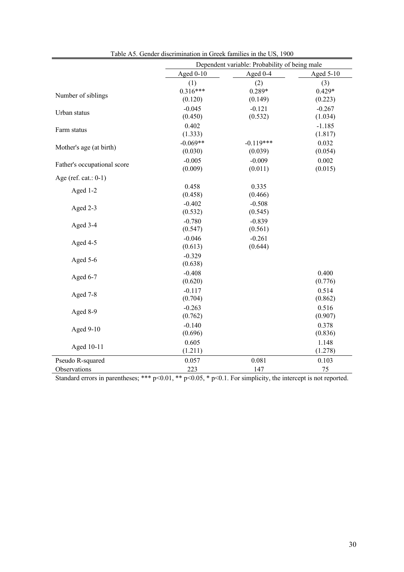|                             |                     | Dependent variable: Probability of being male |           |
|-----------------------------|---------------------|-----------------------------------------------|-----------|
|                             | Aged $0-10$         | Aged 0-4                                      | Aged 5-10 |
|                             | (1)                 | (2)                                           | (3)       |
| Number of siblings          | $0.316***$          | $0.289*$                                      | $0.429*$  |
|                             | (0.120)             | (0.149)                                       | (0.223)   |
| Urban status                | $-0.045$            | $-0.121$                                      | $-0.267$  |
|                             | (0.450)             | (0.532)                                       | (1.034)   |
| Farm status                 | 0.402               |                                               | $-1.185$  |
|                             | (1.333)             |                                               | (1.817)   |
| Mother's age (at birth)     | $-0.069**$          | $-0.119***$                                   | 0.032     |
|                             | (0.030)             | (0.039)                                       | (0.054)   |
| Father's occupational score | $-0.005$            | $-0.009$                                      | 0.002     |
|                             | (0.009)             | (0.011)                                       | (0.015)   |
| Age (ref. cat.: $0-1$ )     |                     |                                               |           |
| Aged 1-2                    | 0.458               | 0.335                                         |           |
|                             | (0.458)             | (0.466)                                       |           |
| Aged 2-3                    | $-0.402$            | $-0.508$                                      |           |
|                             | (0.532)             | (0.545)                                       |           |
| Aged 3-4                    | $-0.780$            | $-0.839$                                      |           |
|                             | (0.547)             | (0.561)                                       |           |
| Aged 4-5                    | $-0.046$<br>(0.613) | $-0.261$<br>(0.644)                           |           |
|                             | $-0.329$            |                                               |           |
| Aged 5-6                    | (0.638)             |                                               |           |
|                             | $-0.408$            |                                               | 0.400     |
| Aged 6-7                    | (0.620)             |                                               | (0.776)   |
|                             | $-0.117$            |                                               | 0.514     |
| Aged 7-8                    | (0.704)             |                                               | (0.862)   |
|                             | $-0.263$            |                                               | 0.516     |
| Aged 8-9                    | (0.762)             |                                               | (0.907)   |
|                             | $-0.140$            |                                               | 0.378     |
| Aged 9-10                   | (0.696)             |                                               | (0.836)   |
|                             | 0.605               |                                               | 1.148     |
| Aged 10-11                  | (1.211)             |                                               | (1.278)   |
| Pseudo R-squared            | 0.057               | 0.081                                         | 0.103     |
| Observations                | 223                 | 147                                           | 75        |

| Table A5. Gender discrimination in Greek families in the US, 1900 |
|-------------------------------------------------------------------|
|-------------------------------------------------------------------|

Standard errors in parentheses; \*\*\*  $p<0.01$ , \*\*  $p<0.05$ , \*  $p<0.1$ . For simplicity, the intercept is not reported.